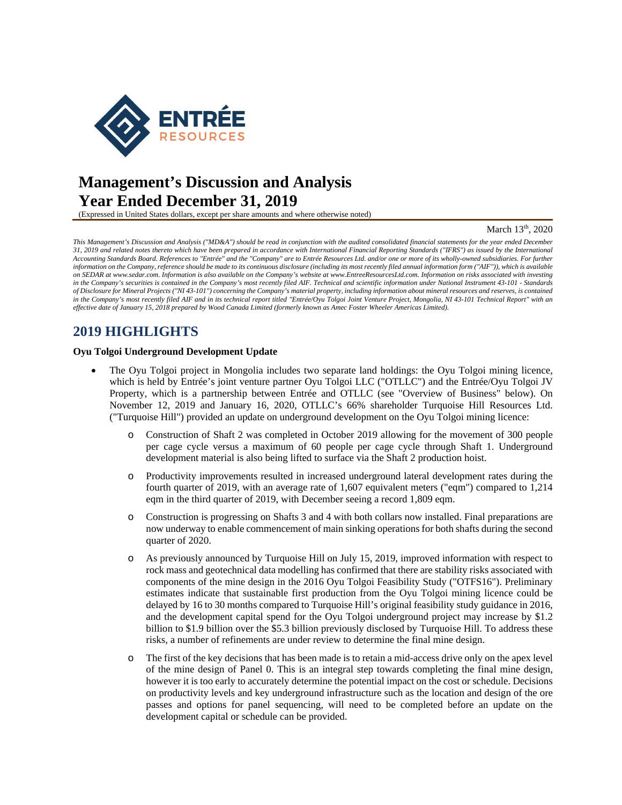

# **Management's Discussion and Analysis Year Ended December 31, 2019**

(Expressed in United States dollars, except per share amounts and where otherwise noted)

#### March 13<sup>th</sup>, 2020

*This Management's Discussion and Analysis ("MD&A") should be read in conjunction with the audited consolidated financial statements for the year ended December 31, 2019 and related notes thereto which have been prepared in accordance with International Financial Reporting Standards ("IFRS") as issued by the International Accounting Standards Board. References to "Entrée" and the "Company" are to Entrée Resources Ltd. and/or one or more of its wholly-owned subsidiaries. For further information on the Company, reference should be made to its continuous disclosure (including its most recently filed annual information form ("AIF")), which is available on SEDAR at www.sedar.com. Information is also available on the Company's website at www.EntreeResourcesLtd.com. Information on risks associated with investing in the Company's securities is contained in the Company's most recently filed AIF. Technical and scientific information under National Instrument 43-101 - Standards of Disclosure for Mineral Projects ("NI 43-101") concerning the Company's material property, including information about mineral resources and reserves, is contained*  in the Company's most recently filed AIF and in its technical report titled "Entrée/Oyu Tolgoi Joint Venture Project, Mongolia, NI 43-101 Technical Report" with an *effective date of January 15, 2018 prepared by Wood Canada Limited (formerly known as Amec Foster Wheeler Americas Limited).* 

## **2019 HIGHLIGHTS**

### **Oyu Tolgoi Underground Development Update**

- The Oyu Tolgoi project in Mongolia includes two separate land holdings: the Oyu Tolgoi mining licence, which is held by Entrée's joint venture partner Oyu Tolgoi LLC ("OTLLC") and the Entrée/Oyu Tolgoi JV Property, which is a partnership between Entrée and OTLLC (see "Overview of Business" below). On November 12, 2019 and January 16, 2020, OTLLC's 66% shareholder Turquoise Hill Resources Ltd. ("Turquoise Hill") provided an update on underground development on the Oyu Tolgoi mining licence:
	- o Construction of Shaft 2 was completed in October 2019 allowing for the movement of 300 people per cage cycle versus a maximum of 60 people per cage cycle through Shaft 1. Underground development material is also being lifted to surface via the Shaft 2 production hoist.
	- o Productivity improvements resulted in increased underground lateral development rates during the fourth quarter of 2019, with an average rate of 1,607 equivalent meters ("eqm") compared to 1,214 eqm in the third quarter of 2019, with December seeing a record 1,809 eqm.
	- Construction is progressing on Shafts 3 and 4 with both collars now installed. Final preparations are now underway to enable commencement of main sinking operations for both shafts during the second quarter of 2020.
	- o As previously announced by Turquoise Hill on July 15, 2019, improved information with respect to rock mass and geotechnical data modelling has confirmed that there are stability risks associated with components of the mine design in the 2016 Oyu Tolgoi Feasibility Study ("OTFS16"). Preliminary estimates indicate that sustainable first production from the Oyu Tolgoi mining licence could be delayed by 16 to 30 months compared to Turquoise Hill's original feasibility study guidance in 2016, and the development capital spend for the Oyu Tolgoi underground project may increase by \$1.2 billion to \$1.9 billion over the \$5.3 billion previously disclosed by Turquoise Hill. To address these risks, a number of refinements are under review to determine the final mine design.
	- o The first of the key decisions that has been made is to retain a mid-access drive only on the apex level of the mine design of Panel 0. This is an integral step towards completing the final mine design, however it is too early to accurately determine the potential impact on the cost or schedule. Decisions on productivity levels and key underground infrastructure such as the location and design of the ore passes and options for panel sequencing, will need to be completed before an update on the development capital or schedule can be provided.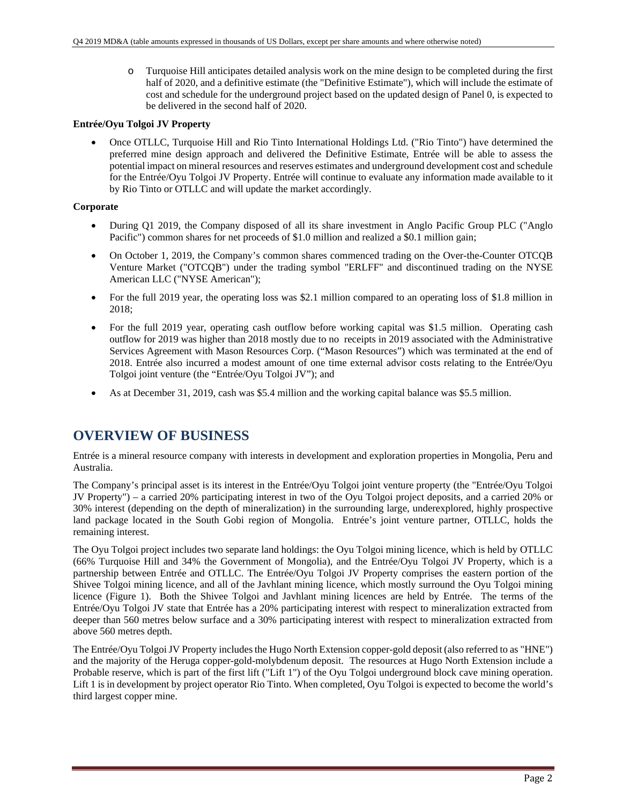o Turquoise Hill anticipates detailed analysis work on the mine design to be completed during the first half of 2020, and a definitive estimate (the "Definitive Estimate"), which will include the estimate of cost and schedule for the underground project based on the updated design of Panel 0, is expected to be delivered in the second half of 2020.

## **Entrée/Oyu Tolgoi JV Property**

 Once OTLLC, Turquoise Hill and Rio Tinto International Holdings Ltd. ("Rio Tinto") have determined the preferred mine design approach and delivered the Definitive Estimate, Entrée will be able to assess the potential impact on mineral resources and reserves estimates and underground development cost and schedule for the Entrée/Oyu Tolgoi JV Property. Entrée will continue to evaluate any information made available to it by Rio Tinto or OTLLC and will update the market accordingly.

### **Corporate**

- During Q1 2019, the Company disposed of all its share investment in Anglo Pacific Group PLC ("Anglo Pacific") common shares for net proceeds of \$1.0 million and realized a \$0.1 million gain;
- On October 1, 2019, the Company's common shares commenced trading on the Over-the-Counter OTCQB Venture Market ("OTCQB") under the trading symbol "ERLFF" and discontinued trading on the NYSE American LLC ("NYSE American");
- For the full 2019 year, the operating loss was \$2.1 million compared to an operating loss of \$1.8 million in 2018;
- For the full 2019 year, operating cash outflow before working capital was \$1.5 million. Operating cash outflow for 2019 was higher than 2018 mostly due to no receipts in 2019 associated with the Administrative Services Agreement with Mason Resources Corp. ("Mason Resources") which was terminated at the end of 2018. Entrée also incurred a modest amount of one time external advisor costs relating to the Entrée/Oyu Tolgoi joint venture (the "Entrée/Oyu Tolgoi JV"); and
- As at December 31, 2019, cash was \$5.4 million and the working capital balance was \$5.5 million.

## **OVERVIEW OF BUSINESS**

Entrée is a mineral resource company with interests in development and exploration properties in Mongolia, Peru and Australia.

The Company's principal asset is its interest in the Entrée/Oyu Tolgoi joint venture property (the "Entrée/Oyu Tolgoi JV Property") – a carried 20% participating interest in two of the Oyu Tolgoi project deposits, and a carried 20% or 30% interest (depending on the depth of mineralization) in the surrounding large, underexplored, highly prospective land package located in the South Gobi region of Mongolia. Entrée's joint venture partner, OTLLC, holds the remaining interest.

The Oyu Tolgoi project includes two separate land holdings: the Oyu Tolgoi mining licence, which is held by OTLLC (66% Turquoise Hill and 34% the Government of Mongolia), and the Entrée/Oyu Tolgoi JV Property, which is a partnership between Entrée and OTLLC. The Entrée/Oyu Tolgoi JV Property comprises the eastern portion of the Shivee Tolgoi mining licence, and all of the Javhlant mining licence, which mostly surround the Oyu Tolgoi mining licence (Figure 1). Both the Shivee Tolgoi and Javhlant mining licences are held by Entrée. The terms of the Entrée/Oyu Tolgoi JV state that Entrée has a 20% participating interest with respect to mineralization extracted from deeper than 560 metres below surface and a 30% participating interest with respect to mineralization extracted from above 560 metres depth.

The Entrée/Oyu Tolgoi JV Property includes the Hugo North Extension copper-gold deposit (also referred to as "HNE") and the majority of the Heruga copper-gold-molybdenum deposit. The resources at Hugo North Extension include a Probable reserve, which is part of the first lift ("Lift 1") of the Oyu Tolgoi underground block cave mining operation. Lift 1 is in development by project operator Rio Tinto. When completed, Oyu Tolgoi is expected to become the world's third largest copper mine.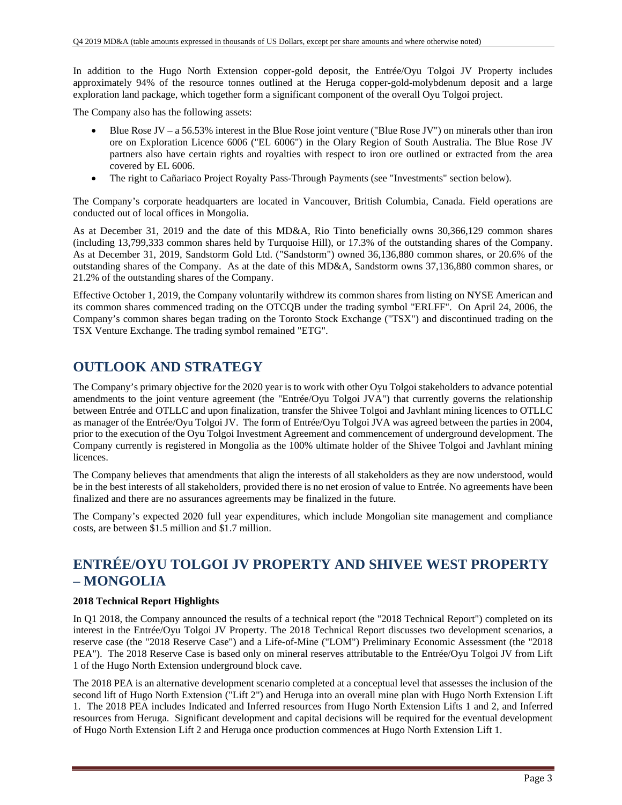In addition to the Hugo North Extension copper-gold deposit, the Entrée/Oyu Tolgoi JV Property includes approximately 94% of the resource tonnes outlined at the Heruga copper-gold-molybdenum deposit and a large exploration land package, which together form a significant component of the overall Oyu Tolgoi project.

The Company also has the following assets:

- Blue Rose JV a 56.53% interest in the Blue Rose joint venture ("Blue Rose JV") on minerals other than iron ore on Exploration Licence 6006 ("EL 6006") in the Olary Region of South Australia. The Blue Rose JV partners also have certain rights and royalties with respect to iron ore outlined or extracted from the area covered by EL 6006.
- The right to Cañariaco Project Royalty Pass-Through Payments (see "Investments" section below).

The Company's corporate headquarters are located in Vancouver, British Columbia, Canada. Field operations are conducted out of local offices in Mongolia.

As at December 31, 2019 and the date of this MD&A, Rio Tinto beneficially owns 30,366,129 common shares (including 13,799,333 common shares held by Turquoise Hill), or 17.3% of the outstanding shares of the Company. As at December 31, 2019, Sandstorm Gold Ltd. ("Sandstorm") owned 36,136,880 common shares, or 20.6% of the outstanding shares of the Company. As at the date of this MD&A, Sandstorm owns 37,136,880 common shares, or 21.2% of the outstanding shares of the Company.

Effective October 1, 2019, the Company voluntarily withdrew its common shares from listing on NYSE American and its common shares commenced trading on the OTCQB under the trading symbol "ERLFF". On April 24, 2006, the Company's common shares began trading on the Toronto Stock Exchange ("TSX") and discontinued trading on the TSX Venture Exchange. The trading symbol remained "ETG".

## **OUTLOOK AND STRATEGY**

The Company's primary objective for the 2020 year is to work with other Oyu Tolgoi stakeholders to advance potential amendments to the joint venture agreement (the "Entrée/Oyu Tolgoi JVA") that currently governs the relationship between Entrée and OTLLC and upon finalization, transfer the Shivee Tolgoi and Javhlant mining licences to OTLLC as manager of the Entrée/Oyu Tolgoi JV. The form of Entrée/Oyu Tolgoi JVA was agreed between the parties in 2004, prior to the execution of the Oyu Tolgoi Investment Agreement and commencement of underground development. The Company currently is registered in Mongolia as the 100% ultimate holder of the Shivee Tolgoi and Javhlant mining licences.

The Company believes that amendments that align the interests of all stakeholders as they are now understood, would be in the best interests of all stakeholders, provided there is no net erosion of value to Entrée. No agreements have been finalized and there are no assurances agreements may be finalized in the future.

The Company's expected 2020 full year expenditures, which include Mongolian site management and compliance costs, are between \$1.5 million and \$1.7 million.

## **ENTRÉE/OYU TOLGOI JV PROPERTY AND SHIVEE WEST PROPERTY – MONGOLIA**

## **2018 Technical Report Highlights**

In Q1 2018, the Company announced the results of a technical report (the "2018 Technical Report") completed on its interest in the Entrée/Oyu Tolgoi JV Property. The 2018 Technical Report discusses two development scenarios, a reserve case (the "2018 Reserve Case") and a Life-of-Mine ("LOM") Preliminary Economic Assessment (the "2018 PEA"). The 2018 Reserve Case is based only on mineral reserves attributable to the Entrée/Oyu Tolgoi JV from Lift 1 of the Hugo North Extension underground block cave.

The 2018 PEA is an alternative development scenario completed at a conceptual level that assesses the inclusion of the second lift of Hugo North Extension ("Lift 2") and Heruga into an overall mine plan with Hugo North Extension Lift 1. The 2018 PEA includes Indicated and Inferred resources from Hugo North Extension Lifts 1 and 2, and Inferred resources from Heruga. Significant development and capital decisions will be required for the eventual development of Hugo North Extension Lift 2 and Heruga once production commences at Hugo North Extension Lift 1.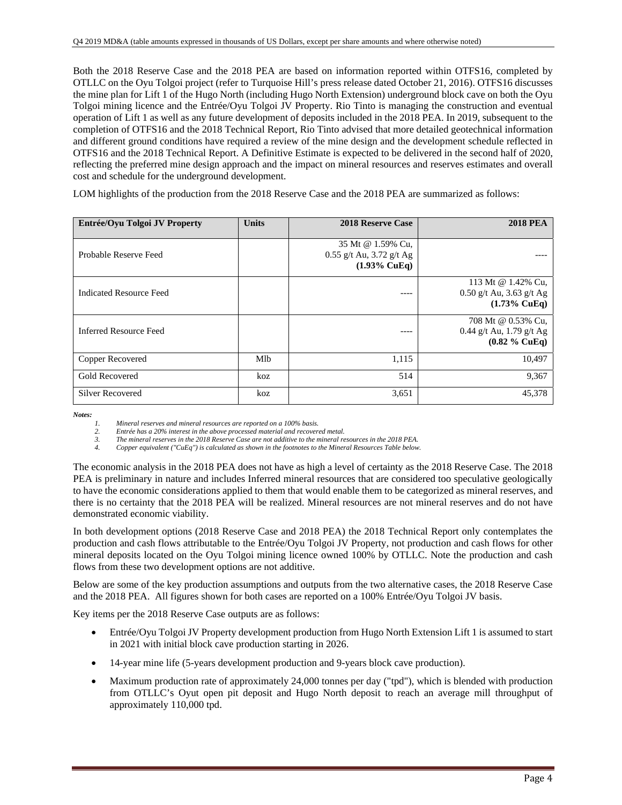Both the 2018 Reserve Case and the 2018 PEA are based on information reported within OTFS16, completed by OTLLC on the Oyu Tolgoi project (refer to Turquoise Hill's press release dated October 21, 2016). OTFS16 discusses the mine plan for Lift 1 of the Hugo North (including Hugo North Extension) underground block cave on both the Oyu Tolgoi mining licence and the Entrée/Oyu Tolgoi JV Property. Rio Tinto is managing the construction and eventual operation of Lift 1 as well as any future development of deposits included in the 2018 PEA. In 2019, subsequent to the completion of OTFS16 and the 2018 Technical Report, Rio Tinto advised that more detailed geotechnical information and different ground conditions have required a review of the mine design and the development schedule reflected in OTFS16 and the 2018 Technical Report. A Definitive Estimate is expected to be delivered in the second half of 2020, reflecting the preferred mine design approach and the impact on mineral resources and reserves estimates and overall cost and schedule for the underground development.

LOM highlights of the production from the 2018 Reserve Case and the 2018 PEA are summarized as follows:

| Entrée/Oyu Tolgoi JV Property | <b>Units</b> | 2018 Reserve Case                                                          | <b>2018 PEA</b>                                                             |
|-------------------------------|--------------|----------------------------------------------------------------------------|-----------------------------------------------------------------------------|
| Probable Reserve Feed         |              | 35 Mt @ 1.59% Cu,<br>$0.55$ g/t Au, 3.72 g/t Ag<br>$(1.93\% \text{ CuEq})$ |                                                                             |
| Indicated Resource Feed       |              | ----                                                                       | 113 Mt @ 1.42% Cu,<br>$0.50$ g/t Au, 3.63 g/t Ag<br>$(1.73\% \text{ CuEq})$ |
| <b>Inferred Resource Feed</b> |              |                                                                            | 708 Mt @ 0.53% Cu,<br>0.44 g/t Au, 1.79 g/t Ag<br>$(0.82 \%$ CuEq)          |
| Copper Recovered              | Mlb          | 1,115                                                                      | 10,497                                                                      |
| <b>Gold Recovered</b>         | koz          | 514                                                                        | 9,367                                                                       |
| Silver Recovered              | koz          | 3,651                                                                      | 45,378                                                                      |

*Notes:* 

*2. Entrée has a 20% interest in the above processed material and recovered metal.* 

*3. The mineral reserves in the 2018 Reserve Case are not additive to the mineral resources in the 2018 PEA.* 

*4. Copper equivalent ("CuEq") is calculated as shown in the footnotes to the Mineral Resources Table below.* 

The economic analysis in the 2018 PEA does not have as high a level of certainty as the 2018 Reserve Case. The 2018 PEA is preliminary in nature and includes Inferred mineral resources that are considered too speculative geologically to have the economic considerations applied to them that would enable them to be categorized as mineral reserves, and there is no certainty that the 2018 PEA will be realized. Mineral resources are not mineral reserves and do not have demonstrated economic viability.

In both development options (2018 Reserve Case and 2018 PEA) the 2018 Technical Report only contemplates the production and cash flows attributable to the Entrée/Oyu Tolgoi JV Property, not production and cash flows for other mineral deposits located on the Oyu Tolgoi mining licence owned 100% by OTLLC. Note the production and cash flows from these two development options are not additive.

Below are some of the key production assumptions and outputs from the two alternative cases, the 2018 Reserve Case and the 2018 PEA. All figures shown for both cases are reported on a 100% Entrée/Oyu Tolgoi JV basis.

Key items per the 2018 Reserve Case outputs are as follows:

- Entrée/Oyu Tolgoi JV Property development production from Hugo North Extension Lift 1 is assumed to start in 2021 with initial block cave production starting in 2026.
- 14-year mine life (5-years development production and 9-years block cave production).
- Maximum production rate of approximately 24,000 tonnes per day ("tpd"), which is blended with production from OTLLC's Oyut open pit deposit and Hugo North deposit to reach an average mill throughput of approximately 110,000 tpd.

*<sup>1.</sup> Mineral reserves and mineral resources are reported on a 100% basis.*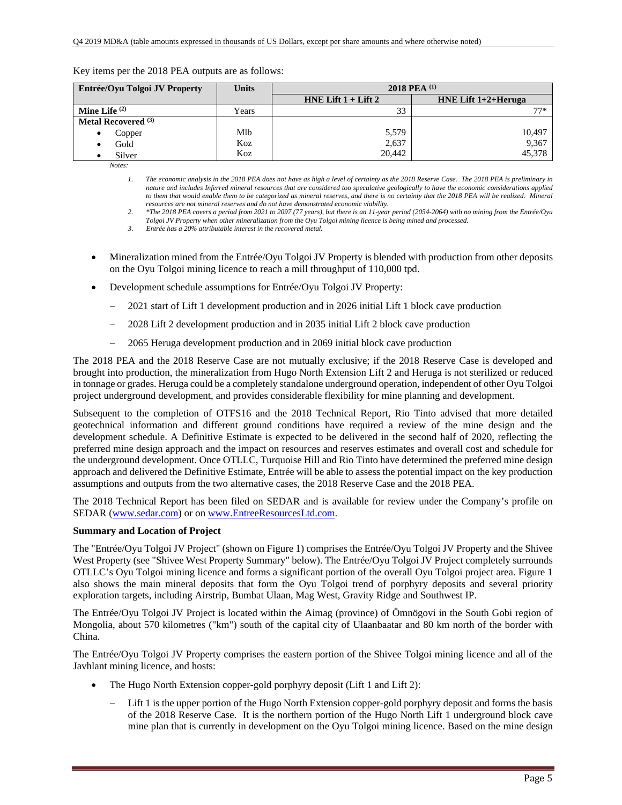|  |  |  |  |  |  |  |  |  | Key items per the 2018 PEA outputs are as follows: |  |
|--|--|--|--|--|--|--|--|--|----------------------------------------------------|--|
|--|--|--|--|--|--|--|--|--|----------------------------------------------------|--|

| Entrée/Oyu Tolgoi JV Property  | <b>Units</b> | 2018 PEA <sup>(1)</sup> |                        |  |  |  |
|--------------------------------|--------------|-------------------------|------------------------|--|--|--|
|                                |              | HNE Lift $1 +$ Lift $2$ | HNE Lift $1+2+$ Heruga |  |  |  |
| Mine Life $(2)$                | Years        | 33                      | $77*$                  |  |  |  |
| Metal Recovered <sup>(3)</sup> |              |                         |                        |  |  |  |
| Copper<br>٠                    | Mlb          | 5,579                   | 10,497                 |  |  |  |
| Gold                           | Koz          | 2,637                   | 9,367                  |  |  |  |
| Silver                         | Koz          | 20.442                  | 45,378                 |  |  |  |

*Notes:* 

*2. \*The 2018 PEA covers a period from 2021 to 2097 (77 years), but there is an 11-year period (2054-2064) with no mining from the Entrée/Oyu* 

*Tolgoi JV Property when other mineralization from the Oyu Tolgoi mining licence is being mined and processed.* 

*3. Entrée has a 20% attributable interest in the recovered metal.* 

- Mineralization mined from the Entrée/Oyu Tolgoi JV Property is blended with production from other deposits on the Oyu Tolgoi mining licence to reach a mill throughput of 110,000 tpd.
- Development schedule assumptions for Entrée/Oyu Tolgoi JV Property:
	- 2021 start of Lift 1 development production and in 2026 initial Lift 1 block cave production
	- 2028 Lift 2 development production and in 2035 initial Lift 2 block cave production
	- 2065 Heruga development production and in 2069 initial block cave production

The 2018 PEA and the 2018 Reserve Case are not mutually exclusive; if the 2018 Reserve Case is developed and brought into production, the mineralization from Hugo North Extension Lift 2 and Heruga is not sterilized or reduced in tonnage or grades. Heruga could be a completely standalone underground operation, independent of other Oyu Tolgoi project underground development, and provides considerable flexibility for mine planning and development.

Subsequent to the completion of OTFS16 and the 2018 Technical Report, Rio Tinto advised that more detailed geotechnical information and different ground conditions have required a review of the mine design and the development schedule. A Definitive Estimate is expected to be delivered in the second half of 2020, reflecting the preferred mine design approach and the impact on resources and reserves estimates and overall cost and schedule for the underground development. Once OTLLC, Turquoise Hill and Rio Tinto have determined the preferred mine design approach and delivered the Definitive Estimate, Entrée will be able to assess the potential impact on the key production assumptions and outputs from the two alternative cases, the 2018 Reserve Case and the 2018 PEA.

The 2018 Technical Report has been filed on SEDAR and is available for review under the Company's profile on SEDAR (www.sedar.com) or on www.EntreeResourcesLtd.com.

## **Summary and Location of Project**

The "Entrée/Oyu Tolgoi JV Project" (shown on Figure 1) comprises the Entrée/Oyu Tolgoi JV Property and the Shivee West Property (see "Shivee West Property Summary" below). The Entrée/Oyu Tolgoi JV Project completely surrounds OTLLC's Oyu Tolgoi mining licence and forms a significant portion of the overall Oyu Tolgoi project area. Figure 1 also shows the main mineral deposits that form the Oyu Tolgoi trend of porphyry deposits and several priority exploration targets, including Airstrip, Bumbat Ulaan, Mag West, Gravity Ridge and Southwest IP.

The Entrée/Oyu Tolgoi JV Project is located within the Aimag (province) of Ömnögovi in the South Gobi region of Mongolia, about 570 kilometres ("km") south of the capital city of Ulaanbaatar and 80 km north of the border with China.

The Entrée/Oyu Tolgoi JV Property comprises the eastern portion of the Shivee Tolgoi mining licence and all of the Javhlant mining licence, and hosts:

- The Hugo North Extension copper-gold porphyry deposit (Lift 1 and Lift 2):
	- Lift 1 is the upper portion of the Hugo North Extension copper-gold porphyry deposit and forms the basis of the 2018 Reserve Case. It is the northern portion of the Hugo North Lift 1 underground block cave mine plan that is currently in development on the Oyu Tolgoi mining licence. Based on the mine design

*<sup>1.</sup> The economic analysis in the 2018 PEA does not have as high a level of certainty as the 2018 Reserve Case. The 2018 PEA is preliminary in nature and includes Inferred mineral resources that are considered too speculative geologically to have the economic considerations applied*  to them that would enable them to be categorized as mineral reserves, and there is no certainty that the 2018 PEA will be realized. Mineral *resources are not mineral reserves and do not have demonstrated economic viability.*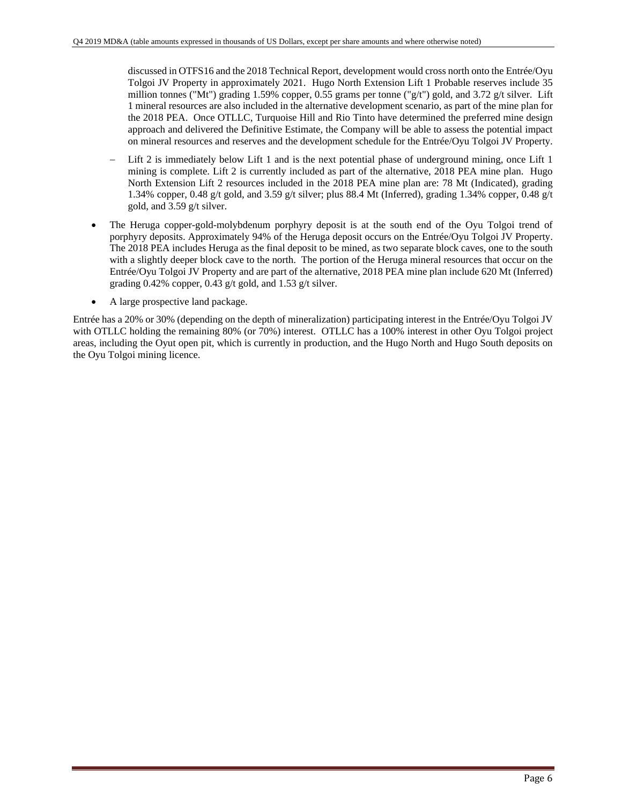discussed in OTFS16 and the 2018 Technical Report, development would cross north onto the Entrée/Oyu Tolgoi JV Property in approximately 2021. Hugo North Extension Lift 1 Probable reserves include 35 million tonnes ("Mt") grading 1.59% copper, 0.55 grams per tonne ("g/t") gold, and 3.72 g/t silver. Lift 1 mineral resources are also included in the alternative development scenario, as part of the mine plan for the 2018 PEA. Once OTLLC, Turquoise Hill and Rio Tinto have determined the preferred mine design approach and delivered the Definitive Estimate, the Company will be able to assess the potential impact on mineral resources and reserves and the development schedule for the Entrée/Oyu Tolgoi JV Property.

- Lift 2 is immediately below Lift 1 and is the next potential phase of underground mining, once Lift 1 mining is complete. Lift 2 is currently included as part of the alternative, 2018 PEA mine plan. Hugo North Extension Lift 2 resources included in the 2018 PEA mine plan are: 78 Mt (Indicated), grading 1.34% copper, 0.48 g/t gold, and 3.59 g/t silver; plus 88.4 Mt (Inferred), grading 1.34% copper, 0.48 g/t gold, and 3.59 g/t silver.
- The Heruga copper-gold-molybdenum porphyry deposit is at the south end of the Oyu Tolgoi trend of porphyry deposits. Approximately 94% of the Heruga deposit occurs on the Entrée/Oyu Tolgoi JV Property. The 2018 PEA includes Heruga as the final deposit to be mined, as two separate block caves, one to the south with a slightly deeper block cave to the north. The portion of the Heruga mineral resources that occur on the Entrée/Oyu Tolgoi JV Property and are part of the alternative, 2018 PEA mine plan include 620 Mt (Inferred) grading 0.42% copper, 0.43 g/t gold, and 1.53 g/t silver.
- A large prospective land package.

Entrée has a 20% or 30% (depending on the depth of mineralization) participating interest in the Entrée/Oyu Tolgoi JV with OTLLC holding the remaining 80% (or 70%) interest. OTLLC has a 100% interest in other Oyu Tolgoi project areas, including the Oyut open pit, which is currently in production, and the Hugo North and Hugo South deposits on the Oyu Tolgoi mining licence.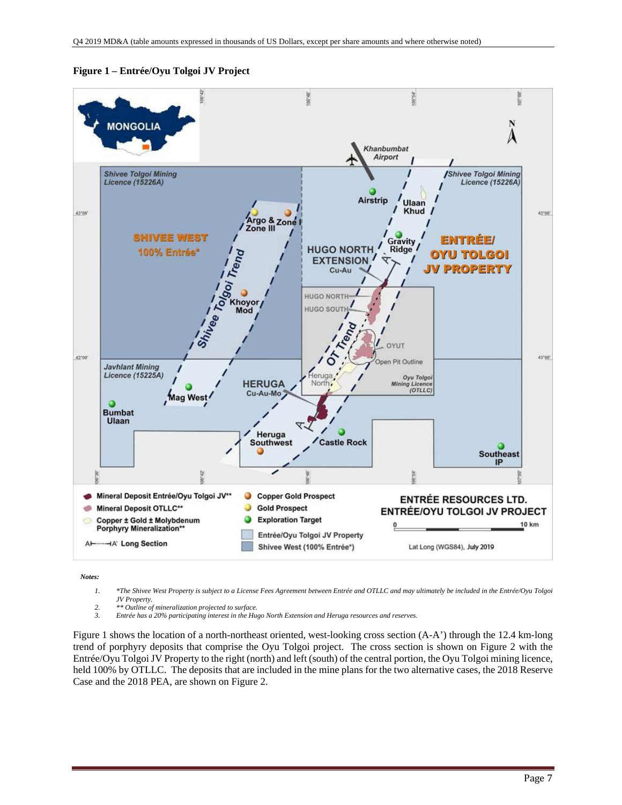

**Figure 1 – Entrée/Oyu Tolgoi JV Project** 

*Notes:* 

- *1. \*The Shivee West Property is subject to a License Fees Agreement between Entrée and OTLLC and may ultimately be included in the Entrée/Oyu Tolgoi JV Property.*
- *2. \*\* Outline of mineralization projected to surface.*
- *3. Entrée has a 20% participating interest in the Hugo North Extension and Heruga resources and reserves.*

Figure 1 shows the location of a north-northeast oriented, west-looking cross section (A-A') through the 12.4 km-long trend of porphyry deposits that comprise the Oyu Tolgoi project. The cross section is shown on Figure 2 with the Entrée/Oyu Tolgoi JV Property to the right (north) and left (south) of the central portion, the Oyu Tolgoi mining licence, held 100% by OTLLC. The deposits that are included in the mine plans for the two alternative cases, the 2018 Reserve Case and the 2018 PEA, are shown on Figure 2.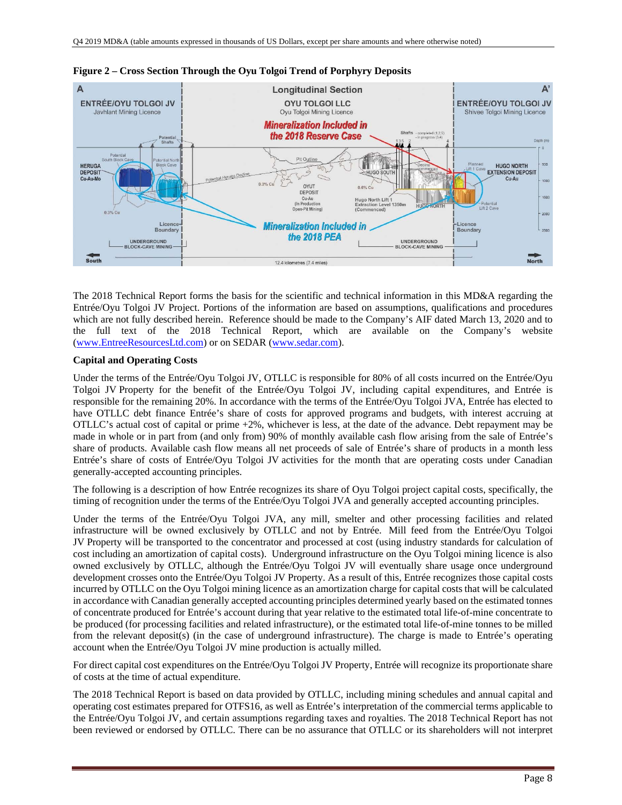

**Figure 2 – Cross Section Through the Oyu Tolgoi Trend of Porphyry Deposits** 

The 2018 Technical Report forms the basis for the scientific and technical information in this MD&A regarding the Entrée/Oyu Tolgoi JV Project. Portions of the information are based on assumptions, qualifications and procedures which are not fully described herein. Reference should be made to the Company's AIF dated March 13, 2020 and to the full text of the 2018 Technical Report, which are available on the Company's website (www.EntreeResourcesLtd.com) or on SEDAR (www.sedar.com).

## **Capital and Operating Costs**

Under the terms of the Entrée/Oyu Tolgoi JV, OTLLC is responsible for 80% of all costs incurred on the Entrée/Oyu Tolgoi JV Property for the benefit of the Entrée/Oyu Tolgoi JV, including capital expenditures, and Entrée is responsible for the remaining 20%. In accordance with the terms of the Entrée/Oyu Tolgoi JVA, Entrée has elected to have OTLLC debt finance Entrée's share of costs for approved programs and budgets, with interest accruing at OTLLC's actual cost of capital or prime +2%, whichever is less, at the date of the advance. Debt repayment may be made in whole or in part from (and only from) 90% of monthly available cash flow arising from the sale of Entrée's share of products. Available cash flow means all net proceeds of sale of Entrée's share of products in a month less Entrée's share of costs of Entrée/Oyu Tolgoi JV activities for the month that are operating costs under Canadian generally-accepted accounting principles.

The following is a description of how Entrée recognizes its share of Oyu Tolgoi project capital costs, specifically, the timing of recognition under the terms of the Entrée/Oyu Tolgoi JVA and generally accepted accounting principles.

Under the terms of the Entrée/Oyu Tolgoi JVA, any mill, smelter and other processing facilities and related infrastructure will be owned exclusively by OTLLC and not by Entrée. Mill feed from the Entrée/Oyu Tolgoi JV Property will be transported to the concentrator and processed at cost (using industry standards for calculation of cost including an amortization of capital costs). Underground infrastructure on the Oyu Tolgoi mining licence is also owned exclusively by OTLLC, although the Entrée/Oyu Tolgoi JV will eventually share usage once underground development crosses onto the Entrée/Oyu Tolgoi JV Property. As a result of this, Entrée recognizes those capital costs incurred by OTLLC on the Oyu Tolgoi mining licence as an amortization charge for capital costs that will be calculated in accordance with Canadian generally accepted accounting principles determined yearly based on the estimated tonnes of concentrate produced for Entrée's account during that year relative to the estimated total life-of-mine concentrate to be produced (for processing facilities and related infrastructure), or the estimated total life-of-mine tonnes to be milled from the relevant deposit(s) (in the case of underground infrastructure). The charge is made to Entrée's operating account when the Entrée/Oyu Tolgoi JV mine production is actually milled.

For direct capital cost expenditures on the Entrée/Oyu Tolgoi JV Property, Entrée will recognize its proportionate share of costs at the time of actual expenditure.

The 2018 Technical Report is based on data provided by OTLLC, including mining schedules and annual capital and operating cost estimates prepared for OTFS16, as well as Entrée's interpretation of the commercial terms applicable to the Entrée/Oyu Tolgoi JV, and certain assumptions regarding taxes and royalties. The 2018 Technical Report has not been reviewed or endorsed by OTLLC. There can be no assurance that OTLLC or its shareholders will not interpret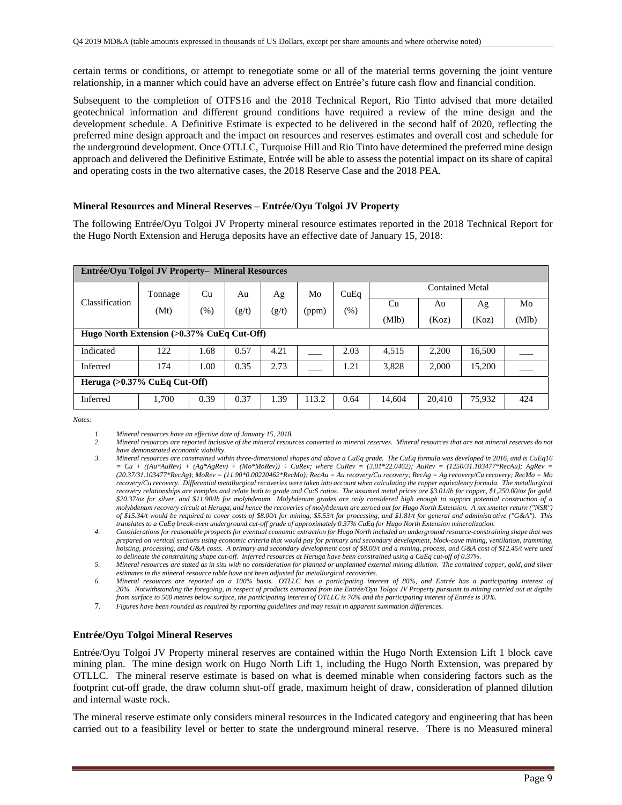certain terms or conditions, or attempt to renegotiate some or all of the material terms governing the joint venture relationship, in a manner which could have an adverse effect on Entrée's future cash flow and financial condition.

Subsequent to the completion of OTFS16 and the 2018 Technical Report, Rio Tinto advised that more detailed geotechnical information and different ground conditions have required a review of the mine design and the development schedule. A Definitive Estimate is expected to be delivered in the second half of 2020, reflecting the preferred mine design approach and the impact on resources and reserves estimates and overall cost and schedule for the underground development. Once OTLLC, Turquoise Hill and Rio Tinto have determined the preferred mine design approach and delivered the Definitive Estimate, Entrée will be able to assess the potential impact on its share of capital and operating costs in the two alternative cases, the 2018 Reserve Case and the 2018 PEA.

## **Mineral Resources and Mineral Reserves – Entrée/Oyu Tolgoi JV Property**

The following Entrée/Oyu Tolgoi JV Property mineral resource estimates reported in the 2018 Technical Report for the Hugo North Extension and Heruga deposits have an effective date of January 15, 2018:

| Entrée/Oyu Tolgoi JV Property- Mineral Resources |                                            |      |       |       |       |        |                 |        |        |       |
|--------------------------------------------------|--------------------------------------------|------|-------|-------|-------|--------|-----------------|--------|--------|-------|
|                                                  | Tonnage                                    | Cu   | Au    | Ag    | Mo    | CuEq   | Contained Metal |        |        |       |
| Classification                                   | (Mt)                                       | (%)  | (g/t) | (g/t) | (ppm) | $(\%)$ | Cu              | Au     | Ag     | Mo    |
|                                                  |                                            |      |       |       |       |        | (Mlb)           | (Koz)  | (Koz)  | (Mlb) |
|                                                  | Hugo North Extension (>0.37% CuEq Cut-Off) |      |       |       |       |        |                 |        |        |       |
| Indicated                                        | 122                                        | 1.68 | 0.57  | 4.21  |       | 2.03   | 4,515           | 2,200  | 16,500 |       |
| Inferred                                         | 174                                        | 1.00 | 0.35  | 2.73  |       | 1.21   | 3,828           | 2,000  | 15,200 |       |
| Heruga $(>0.37\%$ CuEq Cut-Off)                  |                                            |      |       |       |       |        |                 |        |        |       |
| Inferred                                         | 1,700                                      | 0.39 | 0.37  | 1.39  | 113.2 | 0.64   | 14.604          | 20.410 | 75,932 | 424   |

*Notes:* 

- *1. Mineral resources have an effective date of January 15, 2018.*
- *2. Mineral resources are reported inclusive of the mineral resources converted to mineral reserves. Mineral resources that are not mineral reserves do not have demonstrated economic viability.*
- *3. Mineral resources are constrained within three-dimensional shapes and above a CuEq grade. The CuEq formula was developed in 2016, and is CuEq16*   $= Cu + ((Au*AuRev) + (Ag*AgRev) + (Mo*MoRev)) - CuRev$ ; where CuRev = (3.01\*22.0462); AuRev = (1250/31.103477\*RecAu); AgRev *(20.37/31.103477\*RecAg); MoRev = (11.90\*0.00220462\*RecMo); RecAu = Au recovery/Cu recovery; RecAg = Ag recovery/Cu recovery; RecMo = Mo*  recovery/Cu recovery. Differential metallurgical recoveries were taken into account when calculating the copper equivalency formula. The metallurgical *recovery relationships are complex and relate both to grade and Cu:S ratios. The assumed metal prices are \$3.01/lb for copper, \$1,250.00/oz for gold, \$20.37/oz for silver, and \$11.90/lb for molybdenum. Molybdenum grades are only considered high enough to support potential construction of a molybdenum recovery circuit at Heruga, and hence the recoveries of molybdenum are zeroed out for Hugo North Extension. A net smelter return ("NSR") of \$15.34/t would be required to cover costs of \$8.00/t for mining, \$5.53/t for processing, and \$1.81/t for general and administrative ("G&A"). This translates to a CuEq break-even underground cut-off grade of approximately 0.37% CuEq for Hugo North Extension mineralization.*
- *4. Considerations for reasonable prospects for eventual economic extraction for Hugo North included an underground resource-constraining shape that was prepared on vertical sections using economic criteria that would pay for primary and secondary development, block-cave mining, ventilation, tramming, hoisting, processing, and G&A costs. A primary and secondary development cost of \$8.00/t and a mining, process, and G&A cost of \$12.45/t were used to delineate the constraining shape cut-off. Inferred resources at Heruga have been constrained using a CuEq cut-off of 0.37%.*
- *5. Mineral resources are stated as in situ with no consideration for planned or unplanned external mining dilution. The contained copper, gold, and silver estimates in the mineral resource table have not been adjusted for metallurgical recoveries.*
- *6. Mineral resources are reported on a 100% basis. OTLLC has a participating interest of 80%, and Entrée has a participating interest of 20%. Notwithstanding the foregoing, in respect of products extracted from the Entrée/Oyu Tolgoi JV Property pursuant to mining carried out at depths from surface to 560 metres below surface, the participating interest of OTLLC is 70% and the participating interest of Entrée is 30%.*
- 7. *Figures have been rounded as required by reporting guidelines and may result in apparent summation differences.*

## **Entrée/Oyu Tolgoi Mineral Reserves**

Entrée/Oyu Tolgoi JV Property mineral reserves are contained within the Hugo North Extension Lift 1 block cave mining plan. The mine design work on Hugo North Lift 1, including the Hugo North Extension, was prepared by OTLLC. The mineral reserve estimate is based on what is deemed minable when considering factors such as the footprint cut-off grade, the draw column shut-off grade, maximum height of draw, consideration of planned dilution and internal waste rock.

The mineral reserve estimate only considers mineral resources in the Indicated category and engineering that has been carried out to a feasibility level or better to state the underground mineral reserve. There is no Measured mineral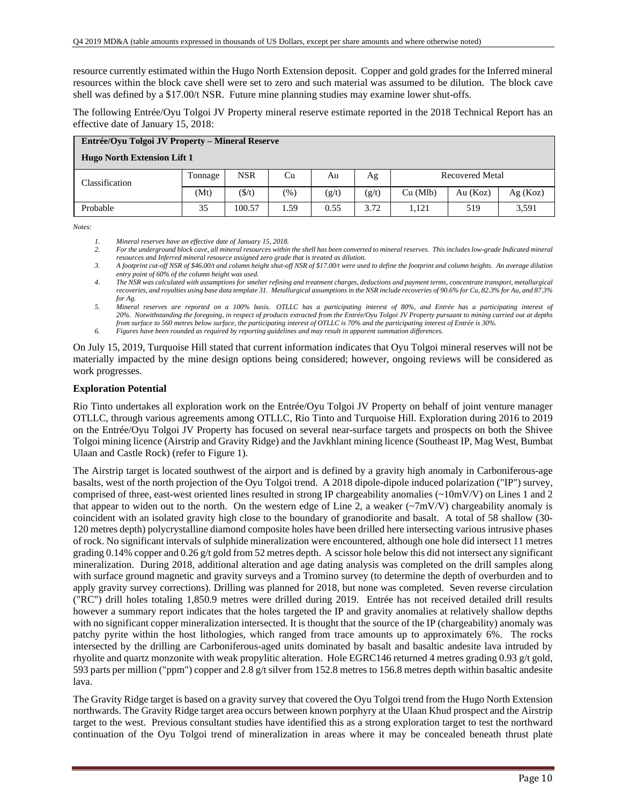resource currently estimated within the Hugo North Extension deposit. Copper and gold grades for the Inferred mineral resources within the block cave shell were set to zero and such material was assumed to be dilution. The block cave shell was defined by a \$17.00/t NSR. Future mine planning studies may examine lower shut-offs.

The following Entrée/Oyu Tolgoi JV Property mineral reserve estimate reported in the 2018 Technical Report has an effective date of January 15, 2018:

| Entrée/Oyu Tolgoi JV Property – Mineral Reserve |         |                 |        |       |       |                        |          |         |  |
|-------------------------------------------------|---------|-----------------|--------|-------|-------|------------------------|----------|---------|--|
| <b>Hugo North Extension Lift 1</b>              |         |                 |        |       |       |                        |          |         |  |
| Classification                                  | Tonnage | <b>NSR</b>      | Cu     | Au    | Ag    | <b>Recovered Metal</b> |          |         |  |
|                                                 | (Mt)    | $(\frac{f}{f})$ | $(\%)$ | (g/t) | (g/t) | Cu (Mlb)               | Au (Koz) | Ag(Koz) |  |
| Probable                                        | 35      | 100.57          | l.59   | 0.55  | 3.72  | 1.121                  | 519      | 3.591   |  |

*Notes:* 

- *1. Mineral reserves have an effective date of January 15, 2018.*
- For the underground block cave, all mineral resources within the shell has been converted to mineral reserves. This includes low-grade Indicated mineral *resources and Inferred mineral resource assigned zero grade that is treated as dilution.*
- *3. A footprint cut-off NSR of \$46.00/t and column height shut-off NSR of \$17.00/t were used to define the footprint and column heights. An average dilution entry point of 60% of the column height was used.*
- *4. The NSR was calculated with assumptions for smelter refining and treatment charges, deductions and payment terms, concentrate transport, metallurgical recoveries, and royalties using base data template 31. Metallurgical assumptions in the NSR include recoveries of 90.6% for Cu, 82.3% for Au, and 87.3% for Ag.*
- *5. Mineral reserves are reported on a 100% basis. OTLLC has a participating interest of 80%, and Entrée has a participating interest of 20%. Notwithstanding the foregoing, in respect of products extracted from the Entrée/Oyu Tolgoi JV Property pursuant to mining carried out at depths from surface to 560 metres below surface, the participating interest of OTLLC is 70% and the participating interest of Entrée is 30%.*
- *6. Figures have been rounded as required by reporting guidelines and may result in apparent summation differences.*

On July 15, 2019, Turquoise Hill stated that current information indicates that Oyu Tolgoi mineral reserves will not be materially impacted by the mine design options being considered; however, ongoing reviews will be considered as work progresses.

#### **Exploration Potential**

Rio Tinto undertakes all exploration work on the Entrée/Oyu Tolgoi JV Property on behalf of joint venture manager OTLLC, through various agreements among OTLLC, Rio Tinto and Turquoise Hill. Exploration during 2016 to 2019 on the Entrée/Oyu Tolgoi JV Property has focused on several near-surface targets and prospects on both the Shivee Tolgoi mining licence (Airstrip and Gravity Ridge) and the Javkhlant mining licence (Southeast IP, Mag West, Bumbat Ulaan and Castle Rock) (refer to Figure 1).

The Airstrip target is located southwest of the airport and is defined by a gravity high anomaly in Carboniferous-age basalts, west of the north projection of the Oyu Tolgoi trend. A 2018 dipole-dipole induced polarization ("IP") survey, comprised of three, east-west oriented lines resulted in strong IP chargeability anomalies (~10mV/V) on Lines 1 and 2 that appear to widen out to the north. On the western edge of Line 2, a weaker  $(\sim 7 \text{mV/V})$  chargeability anomaly is coincident with an isolated gravity high close to the boundary of granodiorite and basalt. A total of 58 shallow (30- 120 metres depth) polycrystalline diamond composite holes have been drilled here intersecting various intrusive phases of rock. No significant intervals of sulphide mineralization were encountered, although one hole did intersect 11 metres grading 0.14% copper and 0.26 g/t gold from 52 metres depth. A scissor hole below this did not intersect any significant mineralization. During 2018, additional alteration and age dating analysis was completed on the drill samples along with surface ground magnetic and gravity surveys and a Tromino survey (to determine the depth of overburden and to apply gravity survey corrections). Drilling was planned for 2018, but none was completed. Seven reverse circulation ("RC") drill holes totaling 1,850.9 metres were drilled during 2019. Entrée has not received detailed drill results however a summary report indicates that the holes targeted the IP and gravity anomalies at relatively shallow depths with no significant copper mineralization intersected. It is thought that the source of the IP (chargeability) anomaly was patchy pyrite within the host lithologies, which ranged from trace amounts up to approximately 6%. The rocks intersected by the drilling are Carboniferous-aged units dominated by basalt and basaltic andesite lava intruded by rhyolite and quartz monzonite with weak propylitic alteration. Hole EGRC146 returned 4 metres grading 0.93 g/t gold, 593 parts per million ("ppm") copper and 2.8 g/t silver from 152.8 metres to 156.8 metres depth within basaltic andesite lava.

The Gravity Ridge target is based on a gravity survey that covered the Oyu Tolgoi trend from the Hugo North Extension northwards. The Gravity Ridge target area occurs between known porphyry at the Ulaan Khud prospect and the Airstrip target to the west. Previous consultant studies have identified this as a strong exploration target to test the northward continuation of the Oyu Tolgoi trend of mineralization in areas where it may be concealed beneath thrust plate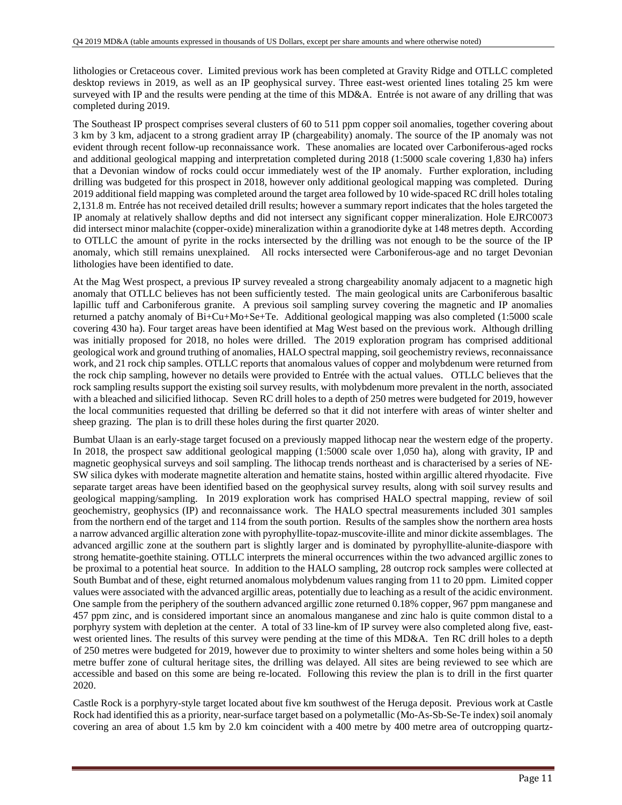lithologies or Cretaceous cover. Limited previous work has been completed at Gravity Ridge and OTLLC completed desktop reviews in 2019, as well as an IP geophysical survey. Three east-west oriented lines totaling 25 km were surveyed with IP and the results were pending at the time of this MD&A. Entrée is not aware of any drilling that was completed during 2019.

The Southeast IP prospect comprises several clusters of 60 to 511 ppm copper soil anomalies, together covering about 3 km by 3 km, adjacent to a strong gradient array IP (chargeability) anomaly. The source of the IP anomaly was not evident through recent follow-up reconnaissance work. These anomalies are located over Carboniferous-aged rocks and additional geological mapping and interpretation completed during 2018 (1:5000 scale covering 1,830 ha) infers that a Devonian window of rocks could occur immediately west of the IP anomaly. Further exploration, including drilling was budgeted for this prospect in 2018, however only additional geological mapping was completed. During 2019 additional field mapping was completed around the target area followed by 10 wide-spaced RC drill holes totaling 2,131.8 m. Entrée has not received detailed drill results; however a summary report indicates that the holes targeted the IP anomaly at relatively shallow depths and did not intersect any significant copper mineralization. Hole EJRC0073 did intersect minor malachite (copper-oxide) mineralization within a granodiorite dyke at 148 metres depth. According to OTLLC the amount of pyrite in the rocks intersected by the drilling was not enough to be the source of the IP anomaly, which still remains unexplained. All rocks intersected were Carboniferous-age and no target Devonian lithologies have been identified to date.

At the Mag West prospect, a previous IP survey revealed a strong chargeability anomaly adjacent to a magnetic high anomaly that OTLLC believes has not been sufficiently tested. The main geological units are Carboniferous basaltic lapillic tuff and Carboniferous granite. A previous soil sampling survey covering the magnetic and IP anomalies returned a patchy anomaly of Bi+Cu+Mo+Se+Te. Additional geological mapping was also completed (1:5000 scale covering 430 ha). Four target areas have been identified at Mag West based on the previous work. Although drilling was initially proposed for 2018, no holes were drilled. The 2019 exploration program has comprised additional geological work and ground truthing of anomalies, HALO spectral mapping, soil geochemistry reviews, reconnaissance work, and 21 rock chip samples. OTLLC reports that anomalous values of copper and molybdenum were returned from the rock chip sampling, however no details were provided to Entrée with the actual values. OTLLC believes that the rock sampling results support the existing soil survey results, with molybdenum more prevalent in the north, associated with a bleached and silicified lithocap. Seven RC drill holes to a depth of 250 metres were budgeted for 2019, however the local communities requested that drilling be deferred so that it did not interfere with areas of winter shelter and sheep grazing. The plan is to drill these holes during the first quarter 2020.

Bumbat Ulaan is an early-stage target focused on a previously mapped lithocap near the western edge of the property. In 2018, the prospect saw additional geological mapping (1:5000 scale over 1,050 ha), along with gravity, IP and magnetic geophysical surveys and soil sampling. The lithocap trends northeast and is characterised by a series of NE‐ SW silica dykes with moderate magnetite alteration and hematite stains, hosted within argillic altered rhyodacite. Five separate target areas have been identified based on the geophysical survey results, along with soil survey results and geological mapping/sampling. In 2019 exploration work has comprised HALO spectral mapping, review of soil geochemistry, geophysics (IP) and reconnaissance work. The HALO spectral measurements included 301 samples from the northern end of the target and 114 from the south portion. Results of the samples show the northern area hosts a narrow advanced argillic alteration zone with pyrophyllite-topaz-muscovite-illite and minor dickite assemblages. The advanced argillic zone at the southern part is slightly larger and is dominated by pyrophyllite-alunite-diaspore with strong hematite-goethite staining. OTLLC interprets the mineral occurrences within the two advanced argillic zones to be proximal to a potential heat source. In addition to the HALO sampling, 28 outcrop rock samples were collected at South Bumbat and of these, eight returned anomalous molybdenum values ranging from 11 to 20 ppm. Limited copper values were associated with the advanced argillic areas, potentially due to leaching as a result of the acidic environment. One sample from the periphery of the southern advanced argillic zone returned 0.18% copper, 967 ppm manganese and 457 ppm zinc, and is considered important since an anomalous manganese and zinc halo is quite common distal to a porphyry system with depletion at the center. A total of 33 line-km of IP survey were also completed along five, eastwest oriented lines. The results of this survey were pending at the time of this MD&A. Ten RC drill holes to a depth of 250 metres were budgeted for 2019, however due to proximity to winter shelters and some holes being within a 50 metre buffer zone of cultural heritage sites, the drilling was delayed. All sites are being reviewed to see which are accessible and based on this some are being re-located. Following this review the plan is to drill in the first quarter 2020.

Castle Rock is a porphyry-style target located about five km southwest of the Heruga deposit. Previous work at Castle Rock had identified this as a priority, near-surface target based on a polymetallic (Mo-As-Sb-Se-Te index) soil anomaly covering an area of about 1.5 km by 2.0 km coincident with a 400 metre by 400 metre area of outcropping quartz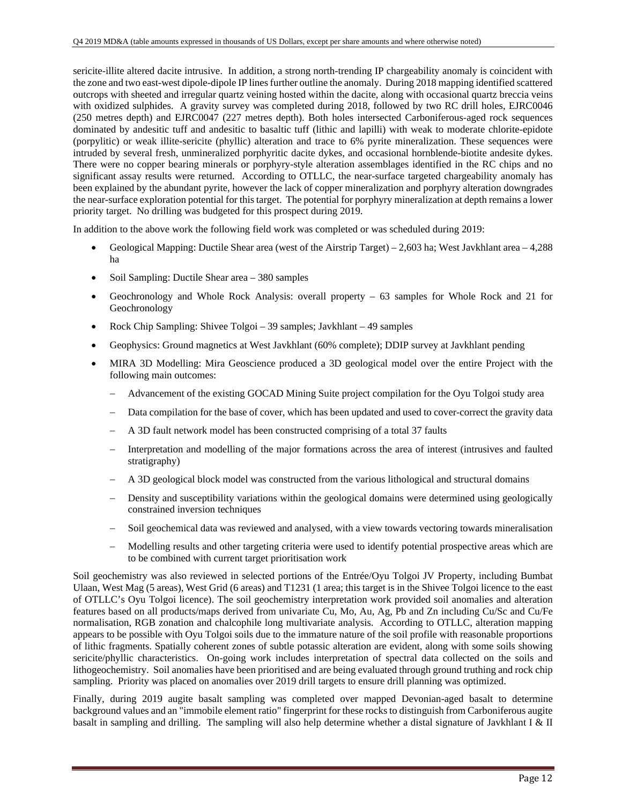sericite-illite altered dacite intrusive. In addition, a strong north-trending IP chargeability anomaly is coincident with the zone and two east-west dipole-dipole IP lines further outline the anomaly. During 2018 mapping identified scattered outcrops with sheeted and irregular quartz veining hosted within the dacite, along with occasional quartz breccia veins with oxidized sulphides. A gravity survey was completed during 2018, followed by two RC drill holes, EJRC0046 (250 metres depth) and EJRC0047 (227 metres depth). Both holes intersected Carboniferous-aged rock sequences dominated by andesitic tuff and andesitic to basaltic tuff (lithic and lapilli) with weak to moderate chlorite-epidote (porpylitic) or weak illite-sericite (phyllic) alteration and trace to 6% pyrite mineralization. These sequences were intruded by several fresh, unmineralized porphyritic dacite dykes, and occasional hornblende-biotite andesite dykes. There were no copper bearing minerals or porphyry-style alteration assemblages identified in the RC chips and no significant assay results were returned. According to OTLLC, the near-surface targeted chargeability anomaly has been explained by the abundant pyrite, however the lack of copper mineralization and porphyry alteration downgrades the near-surface exploration potential for this target. The potential for porphyry mineralization at depth remains a lower priority target. No drilling was budgeted for this prospect during 2019.

In addition to the above work the following field work was completed or was scheduled during 2019:

- Geological Mapping: Ductile Shear area (west of the Airstrip Target) 2,603 ha; West Javkhlant area 4,288 ha
- Soil Sampling: Ductile Shear area 380 samples
- Geochronology and Whole Rock Analysis: overall property 63 samples for Whole Rock and 21 for Geochronology
- Rock Chip Sampling: Shivee Tolgoi 39 samples; Javkhlant 49 samples
- Geophysics: Ground magnetics at West Javkhlant (60% complete); DDIP survey at Javkhlant pending
- MIRA 3D Modelling: Mira Geoscience produced a 3D geological model over the entire Project with the following main outcomes:
	- Advancement of the existing GOCAD Mining Suite project compilation for the Oyu Tolgoi study area
	- Data compilation for the base of cover, which has been updated and used to cover-correct the gravity data
	- A 3D fault network model has been constructed comprising of a total 37 faults
	- Interpretation and modelling of the major formations across the area of interest (intrusives and faulted stratigraphy)
	- A 3D geological block model was constructed from the various lithological and structural domains
	- Density and susceptibility variations within the geological domains were determined using geologically constrained inversion techniques
	- Soil geochemical data was reviewed and analysed, with a view towards vectoring towards mineralisation
	- Modelling results and other targeting criteria were used to identify potential prospective areas which are to be combined with current target prioritisation work

Soil geochemistry was also reviewed in selected portions of the Entrée/Oyu Tolgoi JV Property, including Bumbat Ulaan, West Mag (5 areas), West Grid (6 areas) and T1231 (1 area; this target is in the Shivee Tolgoi licence to the east of OTLLC's Oyu Tolgoi licence). The soil geochemistry interpretation work provided soil anomalies and alteration features based on all products/maps derived from univariate Cu, Mo, Au, Ag, Pb and Zn including Cu/Sc and Cu/Fe normalisation, RGB zonation and chalcophile long multivariate analysis. According to OTLLC, alteration mapping appears to be possible with Oyu Tolgoi soils due to the immature nature of the soil profile with reasonable proportions of lithic fragments. Spatially coherent zones of subtle potassic alteration are evident, along with some soils showing sericite/phyllic characteristics. On-going work includes interpretation of spectral data collected on the soils and lithogeochemistry. Soil anomalies have been prioritised and are being evaluated through ground truthing and rock chip sampling. Priority was placed on anomalies over 2019 drill targets to ensure drill planning was optimized.

Finally, during 2019 augite basalt sampling was completed over mapped Devonian-aged basalt to determine background values and an "immobile element ratio" fingerprint for these rocks to distinguish from Carboniferous augite basalt in sampling and drilling. The sampling will also help determine whether a distal signature of Javkhlant I & II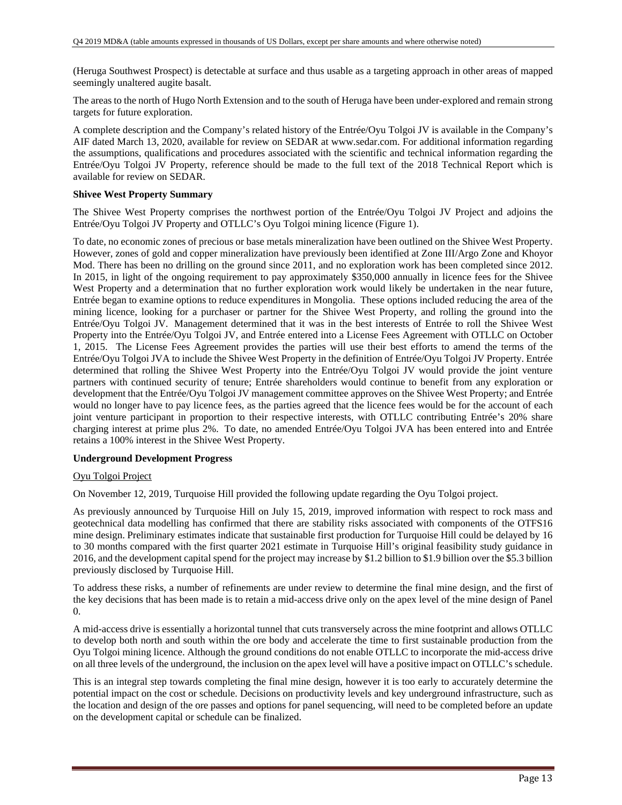(Heruga Southwest Prospect) is detectable at surface and thus usable as a targeting approach in other areas of mapped seemingly unaltered augite basalt.

The areas to the north of Hugo North Extension and to the south of Heruga have been under-explored and remain strong targets for future exploration.

A complete description and the Company's related history of the Entrée/Oyu Tolgoi JV is available in the Company's AIF dated March 13, 2020, available for review on SEDAR at www.sedar.com. For additional information regarding the assumptions, qualifications and procedures associated with the scientific and technical information regarding the Entrée/Oyu Tolgoi JV Property, reference should be made to the full text of the 2018 Technical Report which is available for review on SEDAR.

### **Shivee West Property Summary**

The Shivee West Property comprises the northwest portion of the Entrée/Oyu Tolgoi JV Project and adjoins the Entrée/Oyu Tolgoi JV Property and OTLLC's Oyu Tolgoi mining licence (Figure 1).

To date, no economic zones of precious or base metals mineralization have been outlined on the Shivee West Property. However, zones of gold and copper mineralization have previously been identified at Zone III/Argo Zone and Khoyor Mod. There has been no drilling on the ground since 2011, and no exploration work has been completed since 2012. In 2015, in light of the ongoing requirement to pay approximately \$350,000 annually in licence fees for the Shivee West Property and a determination that no further exploration work would likely be undertaken in the near future, Entrée began to examine options to reduce expenditures in Mongolia. These options included reducing the area of the mining licence, looking for a purchaser or partner for the Shivee West Property, and rolling the ground into the Entrée/Oyu Tolgoi JV. Management determined that it was in the best interests of Entrée to roll the Shivee West Property into the Entrée/Oyu Tolgoi JV, and Entrée entered into a License Fees Agreement with OTLLC on October 1, 2015. The License Fees Agreement provides the parties will use their best efforts to amend the terms of the Entrée/Oyu Tolgoi JVA to include the Shivee West Property in the definition of Entrée/Oyu Tolgoi JV Property. Entrée determined that rolling the Shivee West Property into the Entrée/Oyu Tolgoi JV would provide the joint venture partners with continued security of tenure; Entrée shareholders would continue to benefit from any exploration or development that the Entrée/Oyu Tolgoi JV management committee approves on the Shivee West Property; and Entrée would no longer have to pay licence fees, as the parties agreed that the licence fees would be for the account of each joint venture participant in proportion to their respective interests, with OTLLC contributing Entrée's 20% share charging interest at prime plus 2%. To date, no amended Entrée/Oyu Tolgoi JVA has been entered into and Entrée retains a 100% interest in the Shivee West Property.

## **Underground Development Progress**

#### Oyu Tolgoi Project

On November 12, 2019, Turquoise Hill provided the following update regarding the Oyu Tolgoi project.

As previously announced by Turquoise Hill on July 15, 2019, improved information with respect to rock mass and geotechnical data modelling has confirmed that there are stability risks associated with components of the OTFS16 mine design. Preliminary estimates indicate that sustainable first production for Turquoise Hill could be delayed by 16 to 30 months compared with the first quarter 2021 estimate in Turquoise Hill's original feasibility study guidance in 2016, and the development capital spend for the project may increase by \$1.2 billion to \$1.9 billion over the \$5.3 billion previously disclosed by Turquoise Hill.

To address these risks, a number of refinements are under review to determine the final mine design, and the first of the key decisions that has been made is to retain a mid-access drive only on the apex level of the mine design of Panel 0.

A mid-access drive is essentially a horizontal tunnel that cuts transversely across the mine footprint and allows OTLLC to develop both north and south within the ore body and accelerate the time to first sustainable production from the Oyu Tolgoi mining licence. Although the ground conditions do not enable OTLLC to incorporate the mid-access drive on all three levels of the underground, the inclusion on the apex level will have a positive impact on OTLLC's schedule.

This is an integral step towards completing the final mine design, however it is too early to accurately determine the potential impact on the cost or schedule. Decisions on productivity levels and key underground infrastructure, such as the location and design of the ore passes and options for panel sequencing, will need to be completed before an update on the development capital or schedule can be finalized.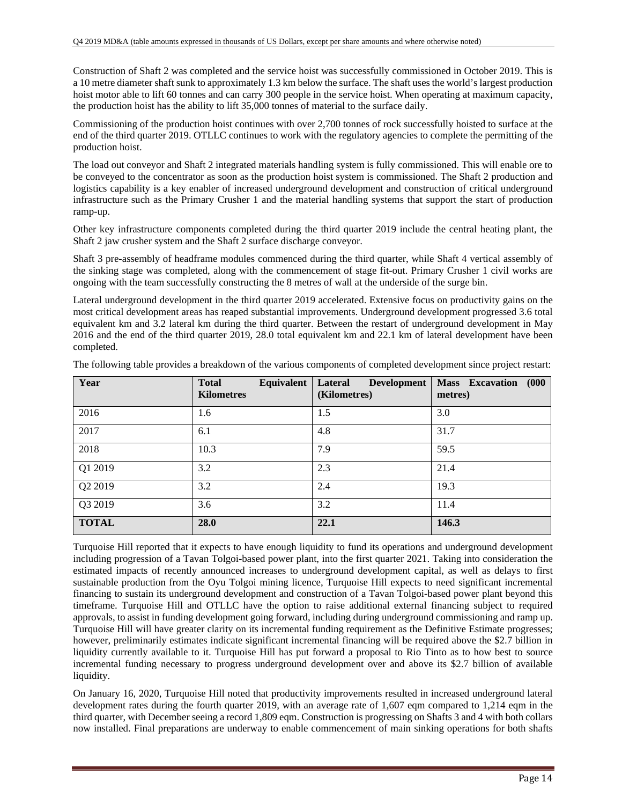Construction of Shaft 2 was completed and the service hoist was successfully commissioned in October 2019. This is a 10 metre diameter shaft sunk to approximately 1.3 km below the surface. The shaft uses the world's largest production hoist motor able to lift 60 tonnes and can carry 300 people in the service hoist. When operating at maximum capacity, the production hoist has the ability to lift 35,000 tonnes of material to the surface daily.

Commissioning of the production hoist continues with over 2,700 tonnes of rock successfully hoisted to surface at the end of the third quarter 2019. OTLLC continues to work with the regulatory agencies to complete the permitting of the production hoist.

The load out conveyor and Shaft 2 integrated materials handling system is fully commissioned. This will enable ore to be conveyed to the concentrator as soon as the production hoist system is commissioned. The Shaft 2 production and logistics capability is a key enabler of increased underground development and construction of critical underground infrastructure such as the Primary Crusher 1 and the material handling systems that support the start of production ramp-up.

Other key infrastructure components completed during the third quarter 2019 include the central heating plant, the Shaft 2 jaw crusher system and the Shaft 2 surface discharge conveyor.

Shaft 3 pre-assembly of headframe modules commenced during the third quarter, while Shaft 4 vertical assembly of the sinking stage was completed, along with the commencement of stage fit-out. Primary Crusher 1 civil works are ongoing with the team successfully constructing the 8 metres of wall at the underside of the surge bin.

Lateral underground development in the third quarter 2019 accelerated. Extensive focus on productivity gains on the most critical development areas has reaped substantial improvements. Underground development progressed 3.6 total equivalent km and 3.2 lateral km during the third quarter. Between the restart of underground development in May 2016 and the end of the third quarter 2019, 28.0 total equivalent km and 22.1 km of lateral development have been completed.

| Year         | <b>Total</b><br>Equivalent   Lateral<br><b>Kilometres</b> | <b>Development</b><br>(Kilometres) | Mass Excavation (000<br>metres) |
|--------------|-----------------------------------------------------------|------------------------------------|---------------------------------|
| 2016         | 1.6                                                       | 1.5                                | 3.0                             |
| 2017         | 6.1                                                       | 4.8                                | 31.7                            |
| 2018         | 10.3                                                      | 7.9                                | 59.5                            |
| Q1 2019      | 3.2                                                       | 2.3                                | 21.4                            |
| Q2 2019      | 3.2                                                       | 2.4                                | 19.3                            |
| Q3 2019      | 3.6                                                       | 3.2                                | 11.4                            |
| <b>TOTAL</b> | 28.0                                                      | 22.1                               | 146.3                           |

The following table provides a breakdown of the various components of completed development since project restart:

Turquoise Hill reported that it expects to have enough liquidity to fund its operations and underground development including progression of a Tavan Tolgoi-based power plant, into the first quarter 2021. Taking into consideration the estimated impacts of recently announced increases to underground development capital, as well as delays to first sustainable production from the Oyu Tolgoi mining licence, Turquoise Hill expects to need significant incremental financing to sustain its underground development and construction of a Tavan Tolgoi-based power plant beyond this timeframe. Turquoise Hill and OTLLC have the option to raise additional external financing subject to required approvals, to assist in funding development going forward, including during underground commissioning and ramp up. Turquoise Hill will have greater clarity on its incremental funding requirement as the Definitive Estimate progresses; however, preliminarily estimates indicate significant incremental financing will be required above the \$2.7 billion in liquidity currently available to it. Turquoise Hill has put forward a proposal to Rio Tinto as to how best to source incremental funding necessary to progress underground development over and above its \$2.7 billion of available liquidity.

On January 16, 2020, Turquoise Hill noted that productivity improvements resulted in increased underground lateral development rates during the fourth quarter 2019, with an average rate of 1,607 eqm compared to 1,214 eqm in the third quarter, with December seeing a record 1,809 eqm. Construction is progressing on Shafts 3 and 4 with both collars now installed. Final preparations are underway to enable commencement of main sinking operations for both shafts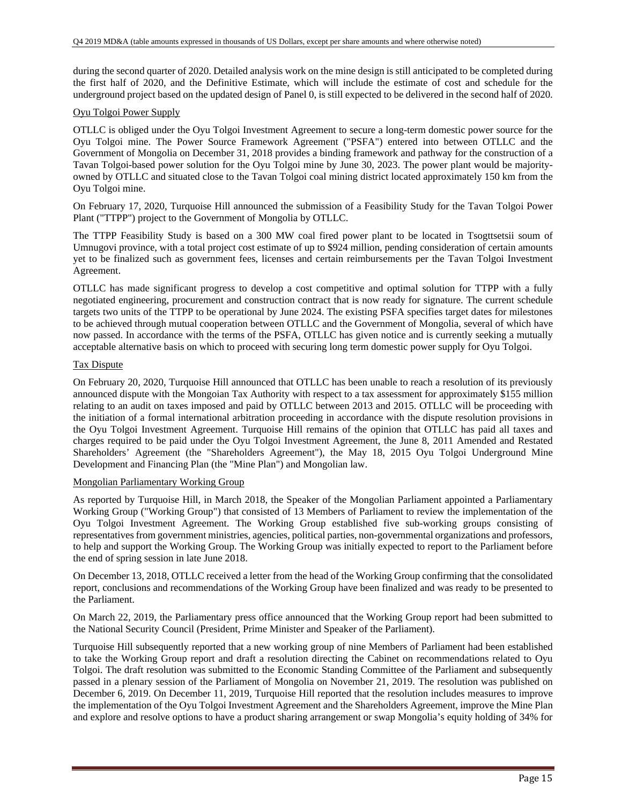during the second quarter of 2020. Detailed analysis work on the mine design is still anticipated to be completed during the first half of 2020, and the Definitive Estimate, which will include the estimate of cost and schedule for the underground project based on the updated design of Panel 0, is still expected to be delivered in the second half of 2020.

#### Oyu Tolgoi Power Supply

OTLLC is obliged under the Oyu Tolgoi Investment Agreement to secure a long-term domestic power source for the Oyu Tolgoi mine. The Power Source Framework Agreement ("PSFA") entered into between OTLLC and the Government of Mongolia on December 31, 2018 provides a binding framework and pathway for the construction of a Tavan Tolgoi-based power solution for the Oyu Tolgoi mine by June 30, 2023. The power plant would be majorityowned by OTLLC and situated close to the Tavan Tolgoi coal mining district located approximately 150 km from the Oyu Tolgoi mine.

On February 17, 2020, Turquoise Hill announced the submission of a Feasibility Study for the Tavan Tolgoi Power Plant ("TTPP") project to the Government of Mongolia by OTLLC.

The TTPP Feasibility Study is based on a 300 MW coal fired power plant to be located in Tsogttsetsii soum of Umnugovi province, with a total project cost estimate of up to \$924 million, pending consideration of certain amounts yet to be finalized such as government fees, licenses and certain reimbursements per the Tavan Tolgoi Investment Agreement.

OTLLC has made significant progress to develop a cost competitive and optimal solution for TTPP with a fully negotiated engineering, procurement and construction contract that is now ready for signature. The current schedule targets two units of the TTPP to be operational by June 2024. The existing PSFA specifies target dates for milestones to be achieved through mutual cooperation between OTLLC and the Government of Mongolia, several of which have now passed. In accordance with the terms of the PSFA, OTLLC has given notice and is currently seeking a mutually acceptable alternative basis on which to proceed with securing long term domestic power supply for Oyu Tolgoi.

### Tax Dispute

On February 20, 2020, Turquoise Hill announced that OTLLC has been unable to reach a resolution of its previously announced dispute with the Mongoian Tax Authority with respect to a tax assessment for approximately \$155 million relating to an audit on taxes imposed and paid by OTLLC between 2013 and 2015. OTLLC will be proceeding with the initiation of a formal international arbitration proceeding in accordance with the dispute resolution provisions in the Oyu Tolgoi Investment Agreement. Turquoise Hill remains of the opinion that OTLLC has paid all taxes and charges required to be paid under the Oyu Tolgoi Investment Agreement, the June 8, 2011 Amended and Restated Shareholders' Agreement (the "Shareholders Agreement"), the May 18, 2015 Oyu Tolgoi Underground Mine Development and Financing Plan (the "Mine Plan") and Mongolian law.

#### Mongolian Parliamentary Working Group

As reported by Turquoise Hill, in March 2018, the Speaker of the Mongolian Parliament appointed a Parliamentary Working Group ("Working Group") that consisted of 13 Members of Parliament to review the implementation of the Oyu Tolgoi Investment Agreement. The Working Group established five sub-working groups consisting of representatives from government ministries, agencies, political parties, non-governmental organizations and professors, to help and support the Working Group. The Working Group was initially expected to report to the Parliament before the end of spring session in late June 2018.

On December 13, 2018, OTLLC received a letter from the head of the Working Group confirming that the consolidated report, conclusions and recommendations of the Working Group have been finalized and was ready to be presented to the Parliament.

On March 22, 2019, the Parliamentary press office announced that the Working Group report had been submitted to the National Security Council (President, Prime Minister and Speaker of the Parliament).

Turquoise Hill subsequently reported that a new working group of nine Members of Parliament had been established to take the Working Group report and draft a resolution directing the Cabinet on recommendations related to Oyu Tolgoi. The draft resolution was submitted to the Economic Standing Committee of the Parliament and subsequently passed in a plenary session of the Parliament of Mongolia on November 21, 2019. The resolution was published on December 6, 2019. On December 11, 2019, Turquoise Hill reported that the resolution includes measures to improve the implementation of the Oyu Tolgoi Investment Agreement and the Shareholders Agreement, improve the Mine Plan and explore and resolve options to have a product sharing arrangement or swap Mongolia's equity holding of 34% for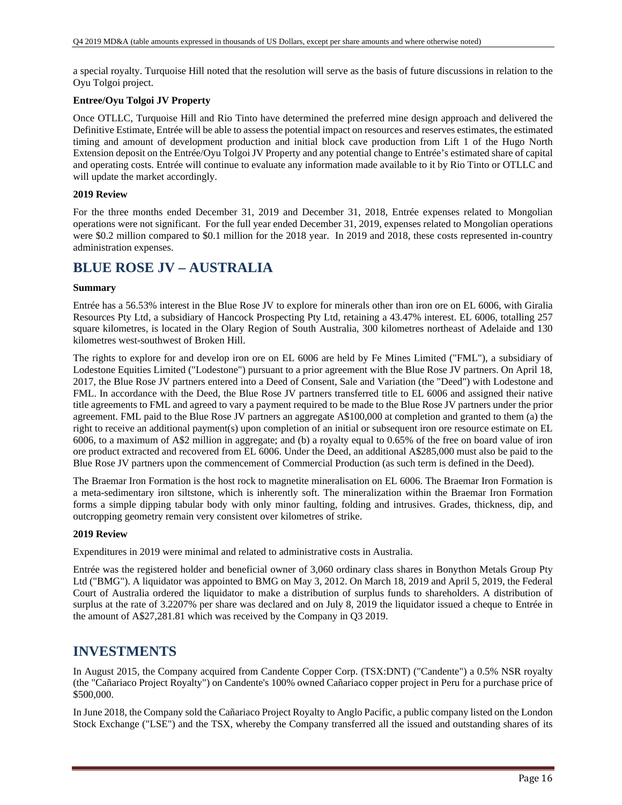a special royalty. Turquoise Hill noted that the resolution will serve as the basis of future discussions in relation to the Oyu Tolgoi project.

## **Entree/Oyu Tolgoi JV Property**

Once OTLLC, Turquoise Hill and Rio Tinto have determined the preferred mine design approach and delivered the Definitive Estimate, Entrée will be able to assess the potential impact on resources and reserves estimates, the estimated timing and amount of development production and initial block cave production from Lift 1 of the Hugo North Extension deposit on the Entrée/Oyu Tolgoi JV Property and any potential change to Entrée's estimated share of capital and operating costs. Entrée will continue to evaluate any information made available to it by Rio Tinto or OTLLC and will update the market accordingly.

#### **2019 Review**

For the three months ended December 31, 2019 and December 31, 2018, Entrée expenses related to Mongolian operations were not significant. For the full year ended December 31, 2019, expenses related to Mongolian operations were \$0.2 million compared to \$0.1 million for the 2018 year. In 2019 and 2018, these costs represented in-country administration expenses.

## **BLUE ROSE JV – AUSTRALIA**

#### **Summary**

Entrée has a 56.53% interest in the Blue Rose JV to explore for minerals other than iron ore on EL 6006, with Giralia Resources Pty Ltd, a subsidiary of Hancock Prospecting Pty Ltd, retaining a 43.47% interest. EL 6006, totalling 257 square kilometres, is located in the Olary Region of South Australia, 300 kilometres northeast of Adelaide and 130 kilometres west-southwest of Broken Hill.

The rights to explore for and develop iron ore on EL 6006 are held by Fe Mines Limited ("FML"), a subsidiary of Lodestone Equities Limited ("Lodestone") pursuant to a prior agreement with the Blue Rose JV partners. On April 18, 2017, the Blue Rose JV partners entered into a Deed of Consent, Sale and Variation (the "Deed") with Lodestone and FML. In accordance with the Deed, the Blue Rose JV partners transferred title to EL 6006 and assigned their native title agreements to FML and agreed to vary a payment required to be made to the Blue Rose JV partners under the prior agreement. FML paid to the Blue Rose JV partners an aggregate A\$100,000 at completion and granted to them (a) the right to receive an additional payment(s) upon completion of an initial or subsequent iron ore resource estimate on EL 6006, to a maximum of A\$2 million in aggregate; and (b) a royalty equal to 0.65% of the free on board value of iron ore product extracted and recovered from EL 6006. Under the Deed, an additional A\$285,000 must also be paid to the Blue Rose JV partners upon the commencement of Commercial Production (as such term is defined in the Deed).

The Braemar Iron Formation is the host rock to magnetite mineralisation on EL 6006. The Braemar Iron Formation is a meta-sedimentary iron siltstone, which is inherently soft. The mineralization within the Braemar Iron Formation forms a simple dipping tabular body with only minor faulting, folding and intrusives. Grades, thickness, dip, and outcropping geometry remain very consistent over kilometres of strike.

#### **2019 Review**

Expenditures in 2019 were minimal and related to administrative costs in Australia.

Entrée was the registered holder and beneficial owner of 3,060 ordinary class shares in Bonython Metals Group Pty Ltd ("BMG"). A liquidator was appointed to BMG on May 3, 2012. On March 18, 2019 and April 5, 2019, the Federal Court of Australia ordered the liquidator to make a distribution of surplus funds to shareholders. A distribution of surplus at the rate of 3.2207% per share was declared and on July 8, 2019 the liquidator issued a cheque to Entrée in the amount of A\$27,281.81 which was received by the Company in Q3 2019.

## **INVESTMENTS**

In August 2015, the Company acquired from Candente Copper Corp. (TSX:DNT) ("Candente") a 0.5% NSR royalty (the "Cañariaco Project Royalty") on Candente's 100% owned Cañariaco copper project in Peru for a purchase price of \$500,000.

In June 2018, the Company sold the Cañariaco Project Royalty to Anglo Pacific, a public company listed on the London Stock Exchange ("LSE") and the TSX, whereby the Company transferred all the issued and outstanding shares of its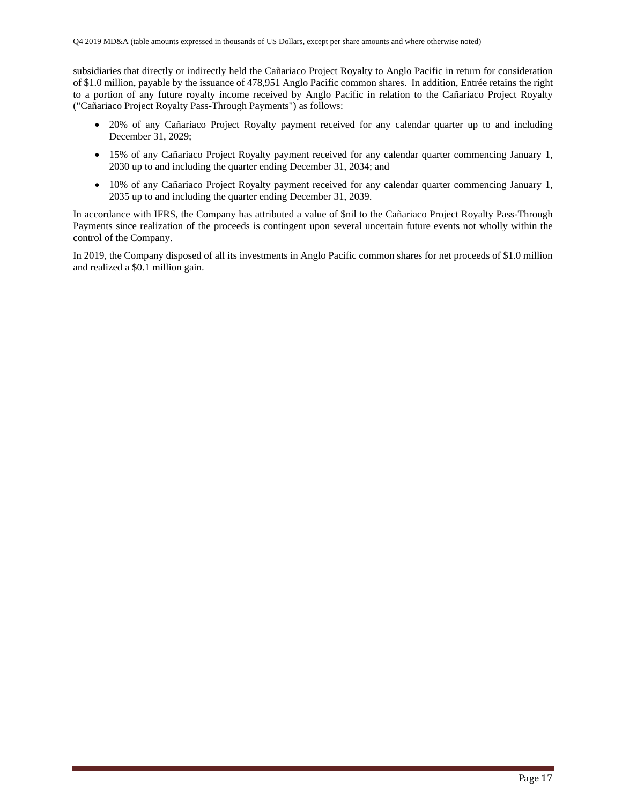subsidiaries that directly or indirectly held the Cañariaco Project Royalty to Anglo Pacific in return for consideration of \$1.0 million, payable by the issuance of 478,951 Anglo Pacific common shares. In addition, Entrée retains the right to a portion of any future royalty income received by Anglo Pacific in relation to the Cañariaco Project Royalty ("Cañariaco Project Royalty Pass-Through Payments") as follows:

- 20% of any Cañariaco Project Royalty payment received for any calendar quarter up to and including December 31, 2029;
- 15% of any Cañariaco Project Royalty payment received for any calendar quarter commencing January 1, 2030 up to and including the quarter ending December 31, 2034; and
- 10% of any Cañariaco Project Royalty payment received for any calendar quarter commencing January 1, 2035 up to and including the quarter ending December 31, 2039.

In accordance with IFRS, the Company has attributed a value of \$nil to the Cañariaco Project Royalty Pass-Through Payments since realization of the proceeds is contingent upon several uncertain future events not wholly within the control of the Company.

In 2019, the Company disposed of all its investments in Anglo Pacific common shares for net proceeds of \$1.0 million and realized a \$0.1 million gain.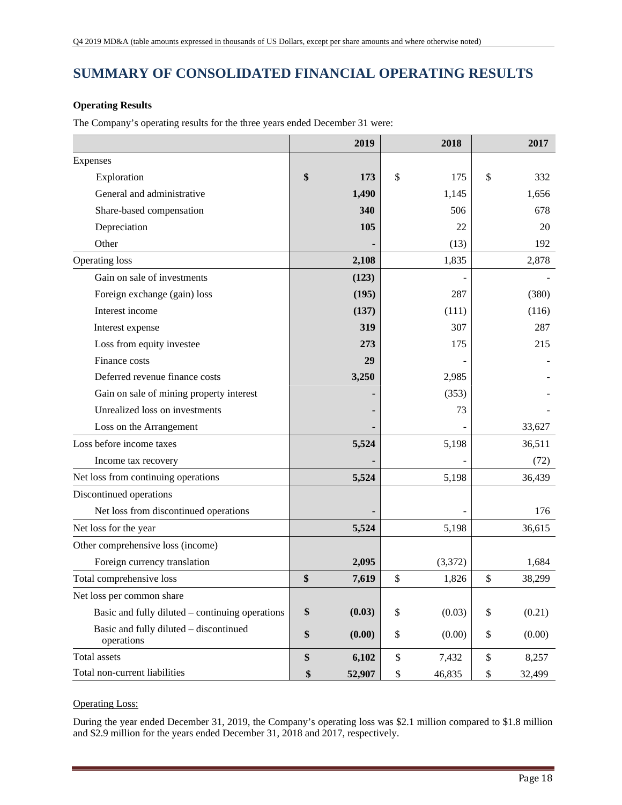# **SUMMARY OF CONSOLIDATED FINANCIAL OPERATING RESULTS**

## **Operating Results**

The Company's operating results for the three years ended December 31 were:

|                                                      | 2019         |      | 2018    |              | 2017   |
|------------------------------------------------------|--------------|------|---------|--------------|--------|
| Expenses                                             |              |      |         |              |        |
| Exploration                                          | \$<br>173    | \$   | 175     | \$           | 332    |
| General and administrative                           | 1,490        |      | 1,145   |              | 1,656  |
| Share-based compensation                             | 340          |      | 506     |              | 678    |
| Depreciation                                         | 105          |      | 22      |              | 20     |
| Other                                                |              |      | (13)    |              | 192    |
| <b>Operating loss</b>                                | 2,108        |      | 1,835   |              | 2,878  |
| Gain on sale of investments                          | (123)        |      |         |              |        |
| Foreign exchange (gain) loss                         | (195)        |      | 287     |              | (380)  |
| Interest income                                      | (137)        |      | (111)   |              | (116)  |
| Interest expense                                     | 319          |      | 307     |              | 287    |
| Loss from equity investee                            | 273          |      | 175     |              | 215    |
| Finance costs                                        | 29           |      |         |              |        |
| Deferred revenue finance costs                       | 3,250        |      | 2,985   |              |        |
| Gain on sale of mining property interest             |              |      | (353)   |              |        |
| Unrealized loss on investments                       |              |      | 73      |              |        |
| Loss on the Arrangement                              |              |      |         |              | 33,627 |
| Loss before income taxes                             | 5,524        |      | 5,198   |              | 36,511 |
| Income tax recovery                                  |              |      |         |              | (72)   |
| Net loss from continuing operations                  | 5,524        |      | 5,198   |              | 36,439 |
| Discontinued operations                              |              |      |         |              |        |
| Net loss from discontinued operations                |              |      |         |              | 176    |
| Net loss for the year                                | 5,524        |      | 5,198   |              | 36,615 |
| Other comprehensive loss (income)                    |              |      |         |              |        |
| Foreign currency translation                         | 2,095        |      | (3,372) |              | 1,684  |
| Total comprehensive loss                             | \$<br>7,619  | \$   | 1,826   | \$           | 38,299 |
| Net loss per common share                            |              |      |         |              |        |
| Basic and fully diluted – continuing operations      | \$<br>(0.03) | \$   | (0.03)  | \$           | (0.21) |
| Basic and fully diluted - discontinued<br>operations | \$<br>(0.00) | $\$$ | (0.00)  | \$           | (0.00) |
| <b>Total assets</b>                                  | \$<br>6,102  | \$   | 7,432   | $\mathbb{S}$ | 8,257  |
| Total non-current liabilities                        | \$<br>52,907 | \$   | 46,835  | \$           | 32,499 |

## Operating Loss:

During the year ended December 31, 2019, the Company's operating loss was \$2.1 million compared to \$1.8 million and \$2.9 million for the years ended December 31, 2018 and 2017, respectively.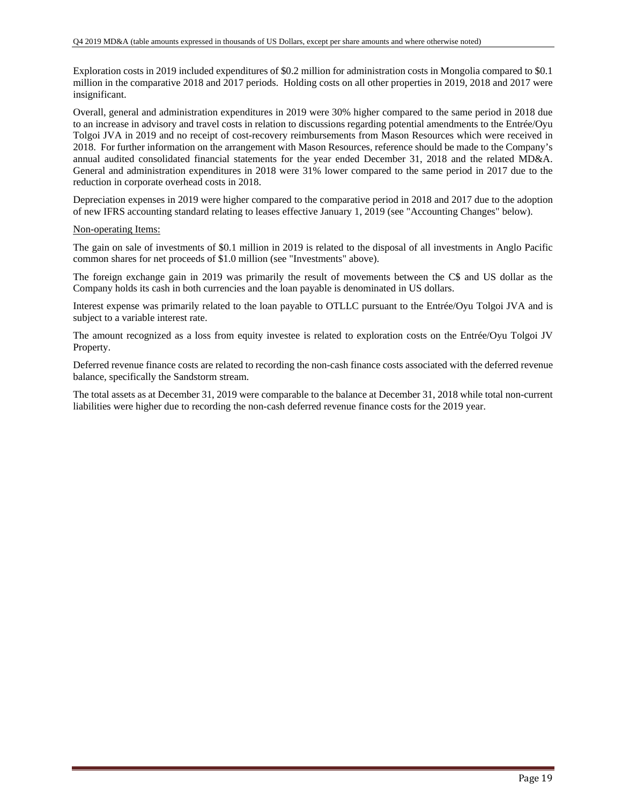Exploration costs in 2019 included expenditures of \$0.2 million for administration costs in Mongolia compared to \$0.1 million in the comparative 2018 and 2017 periods. Holding costs on all other properties in 2019, 2018 and 2017 were insignificant.

Overall, general and administration expenditures in 2019 were 30% higher compared to the same period in 2018 due to an increase in advisory and travel costs in relation to discussions regarding potential amendments to the Entrée/Oyu Tolgoi JVA in 2019 and no receipt of cost-recovery reimbursements from Mason Resources which were received in 2018. For further information on the arrangement with Mason Resources, reference should be made to the Company's annual audited consolidated financial statements for the year ended December 31, 2018 and the related MD&A. General and administration expenditures in 2018 were 31% lower compared to the same period in 2017 due to the reduction in corporate overhead costs in 2018.

Depreciation expenses in 2019 were higher compared to the comparative period in 2018 and 2017 due to the adoption of new IFRS accounting standard relating to leases effective January 1, 2019 (see "Accounting Changes" below).

#### Non-operating Items:

The gain on sale of investments of \$0.1 million in 2019 is related to the disposal of all investments in Anglo Pacific common shares for net proceeds of \$1.0 million (see "Investments" above).

The foreign exchange gain in 2019 was primarily the result of movements between the C\$ and US dollar as the Company holds its cash in both currencies and the loan payable is denominated in US dollars.

Interest expense was primarily related to the loan payable to OTLLC pursuant to the Entrée/Oyu Tolgoi JVA and is subject to a variable interest rate.

The amount recognized as a loss from equity investee is related to exploration costs on the Entrée/Oyu Tolgoi JV Property.

Deferred revenue finance costs are related to recording the non-cash finance costs associated with the deferred revenue balance, specifically the Sandstorm stream.

The total assets as at December 31, 2019 were comparable to the balance at December 31, 2018 while total non-current liabilities were higher due to recording the non-cash deferred revenue finance costs for the 2019 year.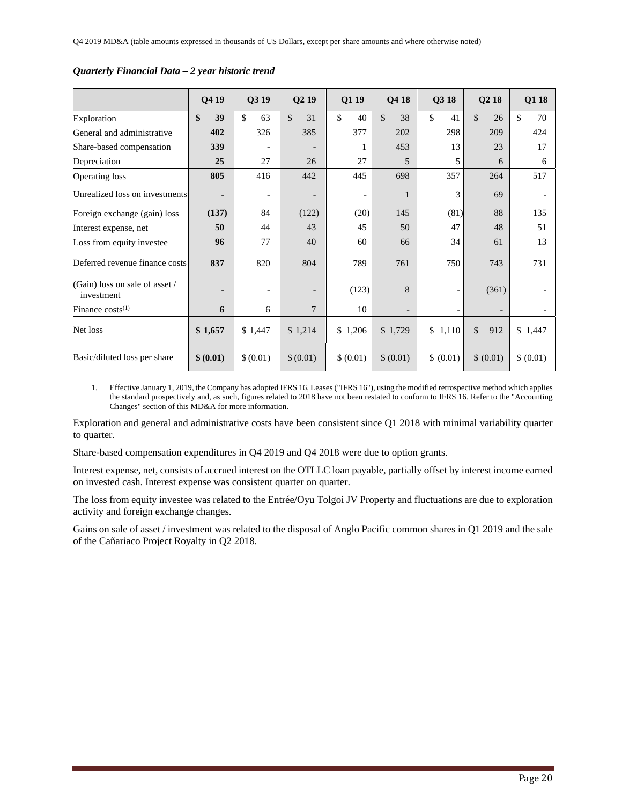|                                              | Q4 19     | Q3 19                    | Q <sub>2</sub> 19  | Q1 19     | Q4 18              | Q3 18               | Q <sub>2</sub> 18    | Q1 18     |
|----------------------------------------------|-----------|--------------------------|--------------------|-----------|--------------------|---------------------|----------------------|-----------|
| Exploration                                  | \$<br>39  | $\mathbb{S}$<br>63       | $\mathbb{S}$<br>31 | \$<br>40  | $\mathbb{S}$<br>38 | $\mathbf{\$}$<br>41 | $\mathcal{S}$<br>26  | \$<br>70  |
| General and administrative                   | 402       | 326                      | 385                | 377       | 202                | 298                 | 209                  | 424       |
| Share-based compensation                     | 339       |                          |                    | 1         | 453                | 13                  | 23                   | 17        |
| Depreciation                                 | 25        | 27                       | 26                 | 27        | 5                  | 5                   | 6                    | 6         |
| Operating loss                               | 805       | 416                      | 442                | 445       | 698                | 357                 | 264                  | 517       |
| Unrealized loss on investments               |           | $\overline{\phantom{a}}$ | $\qquad \qquad -$  | L,        | 1                  | 3                   | 69                   |           |
| Foreign exchange (gain) loss                 | (137)     | 84                       | (122)              | (20)      | 145                | (81)                | 88                   | 135       |
| Interest expense, net                        | 50        | 44                       | 43                 | 45        | 50                 | 47                  | 48                   | 51        |
| Loss from equity investee                    | 96        | 77                       | 40                 | 60        | 66                 | 34                  | 61                   | 13        |
| Deferred revenue finance costs               | 837       | 820                      | 804                | 789       | 761                | 750                 | 743                  | 731       |
| (Gain) loss on sale of asset /<br>investment |           | $\overline{\phantom{a}}$ |                    | (123)     | 8                  |                     | (361)                |           |
| Finance $costs^{(1)}$                        | 6         | 6                        | 7                  | 10        | $\qquad \qquad -$  |                     | $\qquad \qquad -$    |           |
| Net loss                                     | \$1,657   | \$1,447                  | \$1,214            | \$1,206   | \$1,729            | \$1,110             | $\mathcal{S}$<br>912 | \$1,447   |
| Basic/diluted loss per share                 | \$ (0.01) | \$ (0.01)                | \$ (0.01)          | \$ (0.01) | \$ (0.01)          | \$ (0.01)           | \$ (0.01)            | \$ (0.01) |

#### *Quarterly Financial Data – 2 year historic trend*

1. Effective January 1, 2019, the Company has adopted IFRS 16, Leases ("IFRS 16"), using the modified retrospective method which applies the standard prospectively and, as such, figures related to 2018 have not been restated to conform to IFRS 16. Refer to the "Accounting Changes" section of this MD&A for more information.

Exploration and general and administrative costs have been consistent since Q1 2018 with minimal variability quarter to quarter.

Share-based compensation expenditures in Q4 2019 and Q4 2018 were due to option grants.

Interest expense, net, consists of accrued interest on the OTLLC loan payable, partially offset by interest income earned on invested cash. Interest expense was consistent quarter on quarter.

The loss from equity investee was related to the Entrée/Oyu Tolgoi JV Property and fluctuations are due to exploration activity and foreign exchange changes.

Gains on sale of asset / investment was related to the disposal of Anglo Pacific common shares in Q1 2019 and the sale of the Cañariaco Project Royalty in Q2 2018.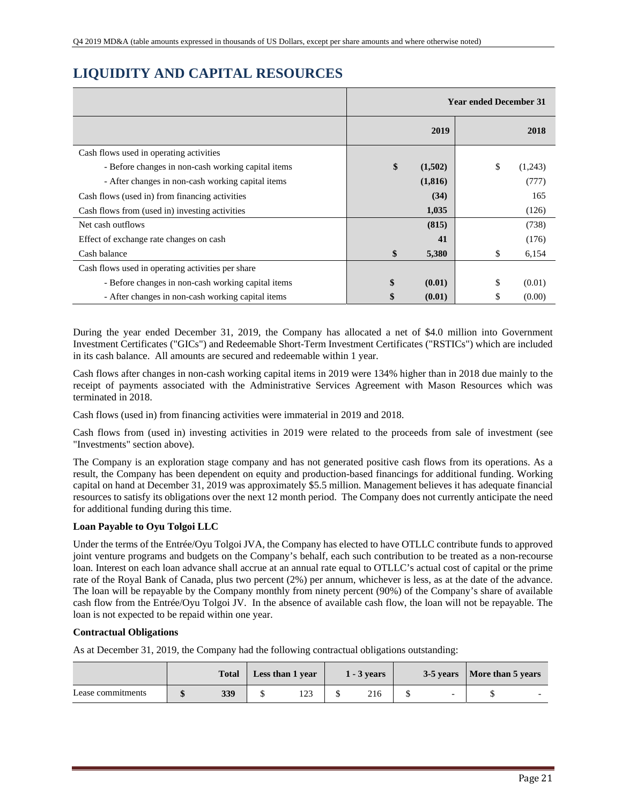# **LIQUIDITY AND CAPITAL RESOURCES**

|                                                    | <b>Year ended December 31</b> |         |    |         |  |
|----------------------------------------------------|-------------------------------|---------|----|---------|--|
|                                                    |                               | 2019    |    | 2018    |  |
| Cash flows used in operating activities            |                               |         |    |         |  |
| - Before changes in non-cash working capital items | \$                            | (1,502) | \$ | (1,243) |  |
| - After changes in non-cash working capital items  |                               | (1,816) |    | (777)   |  |
| Cash flows (used in) from financing activities     |                               | (34)    |    | 165     |  |
| Cash flows from (used in) investing activities     |                               | 1,035   |    | (126)   |  |
| Net cash outflows                                  |                               | (815)   |    | (738)   |  |
| Effect of exchange rate changes on cash            |                               | 41      |    | (176)   |  |
| Cash balance                                       | \$                            | 5,380   | \$ | 6,154   |  |
| Cash flows used in operating activities per share  |                               |         |    |         |  |
| - Before changes in non-cash working capital items | \$                            | (0.01)  | \$ | (0.01)  |  |
| - After changes in non-cash working capital items  | \$                            | (0.01)  | \$ | (0.00)  |  |

During the year ended December 31, 2019, the Company has allocated a net of \$4.0 million into Government Investment Certificates ("GICs") and Redeemable Short-Term Investment Certificates ("RSTICs") which are included in its cash balance. All amounts are secured and redeemable within 1 year.

Cash flows after changes in non-cash working capital items in 2019 were 134% higher than in 2018 due mainly to the receipt of payments associated with the Administrative Services Agreement with Mason Resources which was terminated in 2018.

Cash flows (used in) from financing activities were immaterial in 2019 and 2018.

Cash flows from (used in) investing activities in 2019 were related to the proceeds from sale of investment (see "Investments" section above).

The Company is an exploration stage company and has not generated positive cash flows from its operations. As a result, the Company has been dependent on equity and production-based financings for additional funding. Working capital on hand at December 31, 2019 was approximately \$5.5 million. Management believes it has adequate financial resources to satisfy its obligations over the next 12 month period. The Company does not currently anticipate the need for additional funding during this time.

## **Loan Payable to Oyu Tolgoi LLC**

Under the terms of the Entrée/Oyu Tolgoi JVA, the Company has elected to have OTLLC contribute funds to approved joint venture programs and budgets on the Company's behalf, each such contribution to be treated as a non-recourse loan. Interest on each loan advance shall accrue at an annual rate equal to OTLLC's actual cost of capital or the prime rate of the Royal Bank of Canada, plus two percent (2%) per annum, whichever is less, as at the date of the advance. The loan will be repayable by the Company monthly from ninety percent (90%) of the Company's share of available cash flow from the Entrée/Oyu Tolgoi JV. In the absence of available cash flow, the loan will not be repayable. The loan is not expected to be repaid within one year.

## **Contractual Obligations**

As at December 31, 2019, the Company had the following contractual obligations outstanding:

|                   | <b>Total</b> | Less than 1 year | $1 - 3$ years | $3-5$ years | More than 5 years |  |
|-------------------|--------------|------------------|---------------|-------------|-------------------|--|
| Lease commitments | 339          |                  | 216           | -           |                   |  |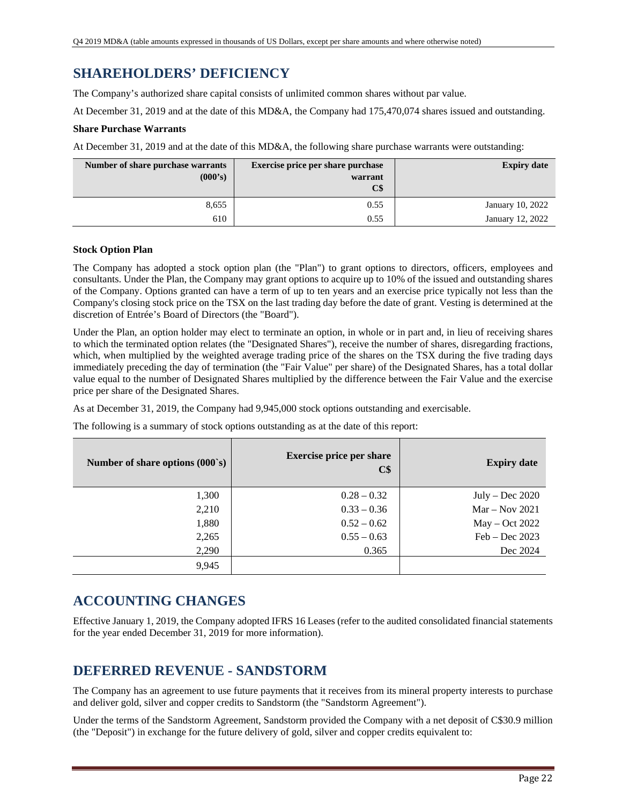## **SHAREHOLDERS' DEFICIENCY**

The Company's authorized share capital consists of unlimited common shares without par value.

At December 31, 2019 and at the date of this MD&A, the Company had 175,470,074 shares issued and outstanding.

#### **Share Purchase Warrants**

At December 31, 2019 and at the date of this MD&A, the following share purchase warrants were outstanding:

| Number of share purchase warrants | <b>Exercise price per share purchase</b> | <b>Expiry date</b> |
|-----------------------------------|------------------------------------------|--------------------|
| (000's)                           | warrant                                  |                    |
|                                   | C\$                                      |                    |
| 8,655                             | 0.55                                     | January 10, 2022   |
| 610                               | 0.55                                     | January 12, 2022   |

#### **Stock Option Plan**

The Company has adopted a stock option plan (the "Plan") to grant options to directors, officers, employees and consultants. Under the Plan, the Company may grant options to acquire up to 10% of the issued and outstanding shares of the Company. Options granted can have a term of up to ten years and an exercise price typically not less than the Company's closing stock price on the TSX on the last trading day before the date of grant. Vesting is determined at the discretion of Entrée's Board of Directors (the "Board").

Under the Plan, an option holder may elect to terminate an option, in whole or in part and, in lieu of receiving shares to which the terminated option relates (the "Designated Shares"), receive the number of shares, disregarding fractions, which, when multiplied by the weighted average trading price of the shares on the TSX during the five trading days immediately preceding the day of termination (the "Fair Value" per share) of the Designated Shares, has a total dollar value equal to the number of Designated Shares multiplied by the difference between the Fair Value and the exercise price per share of the Designated Shares.

As at December 31, 2019, the Company had 9,945,000 stock options outstanding and exercisable.

The following is a summary of stock options outstanding as at the date of this report:

| Number of share options $(000 \text{ s})$ | <b>Exercise price per share</b><br>C\$ | <b>Expiry date</b> |
|-------------------------------------------|----------------------------------------|--------------------|
| 1,300                                     | $0.28 - 0.32$                          | $July - Dec 2020$  |
| 2,210                                     | $0.33 - 0.36$                          | $Mar - Nov 2021$   |
| 1,880                                     | $0.52 - 0.62$                          | May - Oct 2022     |
| 2,265                                     | $0.55 - 0.63$                          | $Feb - Dec 2023$   |
| 2,290                                     | 0.365                                  | Dec 2024           |
| 9.945                                     |                                        |                    |

## **ACCOUNTING CHANGES**

Effective January 1, 2019, the Company adopted IFRS 16 Leases (refer to the audited consolidated financial statements for the year ended December 31, 2019 for more information).

## **DEFERRED REVENUE - SANDSTORM**

The Company has an agreement to use future payments that it receives from its mineral property interests to purchase and deliver gold, silver and copper credits to Sandstorm (the "Sandstorm Agreement").

Under the terms of the Sandstorm Agreement, Sandstorm provided the Company with a net deposit of C\$30.9 million (the "Deposit") in exchange for the future delivery of gold, silver and copper credits equivalent to: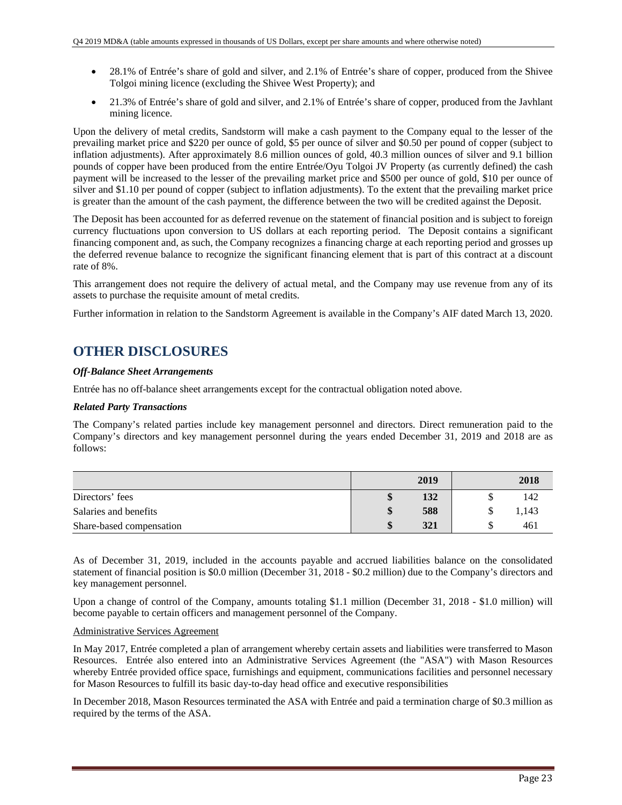- 28.1% of Entrée's share of gold and silver, and 2.1% of Entrée's share of copper, produced from the Shivee Tolgoi mining licence (excluding the Shivee West Property); and
- 21.3% of Entrée's share of gold and silver, and 2.1% of Entrée's share of copper, produced from the Javhlant mining licence.

Upon the delivery of metal credits, Sandstorm will make a cash payment to the Company equal to the lesser of the prevailing market price and \$220 per ounce of gold, \$5 per ounce of silver and \$0.50 per pound of copper (subject to inflation adjustments). After approximately 8.6 million ounces of gold, 40.3 million ounces of silver and 9.1 billion pounds of copper have been produced from the entire Entrée/Oyu Tolgoi JV Property (as currently defined) the cash payment will be increased to the lesser of the prevailing market price and \$500 per ounce of gold, \$10 per ounce of silver and \$1.10 per pound of copper (subject to inflation adjustments). To the extent that the prevailing market price is greater than the amount of the cash payment, the difference between the two will be credited against the Deposit.

The Deposit has been accounted for as deferred revenue on the statement of financial position and is subject to foreign currency fluctuations upon conversion to US dollars at each reporting period. The Deposit contains a significant financing component and, as such, the Company recognizes a financing charge at each reporting period and grosses up the deferred revenue balance to recognize the significant financing element that is part of this contract at a discount rate of 8%.

This arrangement does not require the delivery of actual metal, and the Company may use revenue from any of its assets to purchase the requisite amount of metal credits.

Further information in relation to the Sandstorm Agreement is available in the Company's AIF dated March 13, 2020.

## **OTHER DISCLOSURES**

### *Off-Balance Sheet Arrangements*

Entrée has no off-balance sheet arrangements except for the contractual obligation noted above.

#### *Related Party Transactions*

The Company's related parties include key management personnel and directors. Direct remuneration paid to the Company's directors and key management personnel during the years ended December 31, 2019 and 2018 are as follows:

|                          |    | 2019 | 2018  |
|--------------------------|----|------|-------|
| Directors' fees          | ٨D | 132  | 142   |
| Salaries and benefits    | ۱D | 588  | 1.143 |
| Share-based compensation |    | 321  | 461   |

As of December 31, 2019, included in the accounts payable and accrued liabilities balance on the consolidated statement of financial position is \$0.0 million (December 31, 2018 - \$0.2 million) due to the Company's directors and key management personnel.

Upon a change of control of the Company, amounts totaling \$1.1 million (December 31, 2018 - \$1.0 million) will become payable to certain officers and management personnel of the Company.

### Administrative Services Agreement

In May 2017, Entrée completed a plan of arrangement whereby certain assets and liabilities were transferred to Mason Resources. Entrée also entered into an Administrative Services Agreement (the "ASA") with Mason Resources whereby Entrée provided office space, furnishings and equipment, communications facilities and personnel necessary for Mason Resources to fulfill its basic day-to-day head office and executive responsibilities

In December 2018, Mason Resources terminated the ASA with Entrée and paid a termination charge of \$0.3 million as required by the terms of the ASA.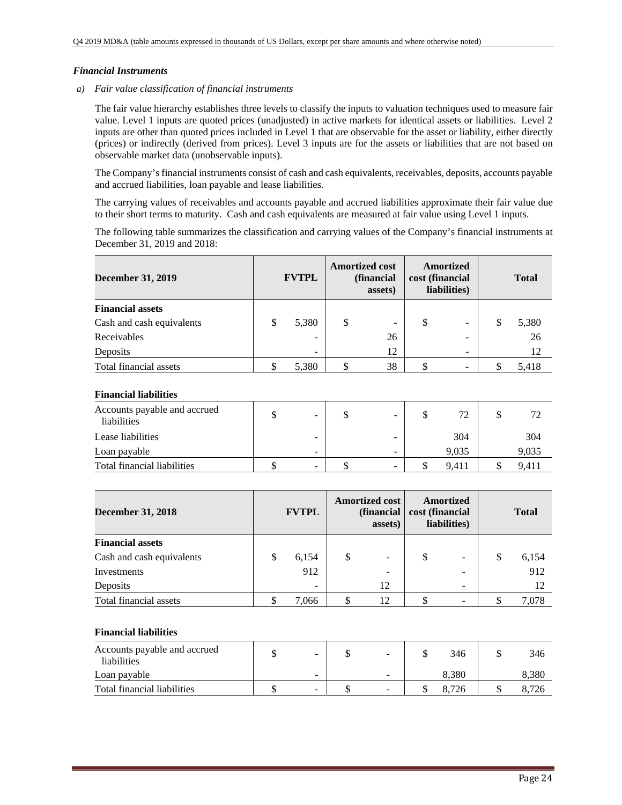### *Financial Instruments*

*a) Fair value classification of financial instruments* 

The fair value hierarchy establishes three levels to classify the inputs to valuation techniques used to measure fair value. Level 1 inputs are quoted prices (unadjusted) in active markets for identical assets or liabilities. Level 2 inputs are other than quoted prices included in Level 1 that are observable for the asset or liability, either directly (prices) or indirectly (derived from prices). Level 3 inputs are for the assets or liabilities that are not based on observable market data (unobservable inputs).

The Company's financial instruments consist of cash and cash equivalents, receivables, deposits, accounts payable and accrued liabilities, loan payable and lease liabilities.

The carrying values of receivables and accounts payable and accrued liabilities approximate their fair value due to their short terms to maturity. Cash and cash equivalents are measured at fair value using Level 1 inputs.

The following table summarizes the classification and carrying values of the Company's financial instruments at December 31, 2019 and 2018:

| <b>December 31, 2019</b>  | <b>FVTPL</b> | <b>Amortized cost</b><br>(financial<br>assets) |    | <b>Amortized</b><br>cost (financial<br>liabilities) |                          | <b>Total</b> |       |
|---------------------------|--------------|------------------------------------------------|----|-----------------------------------------------------|--------------------------|--------------|-------|
| <b>Financial assets</b>   |              |                                                |    |                                                     |                          |              |       |
| Cash and cash equivalents | \$<br>5,380  | \$                                             | -  | \$                                                  | $\overline{\phantom{a}}$ | \$           | 5,380 |
| Receivables               | -            |                                                | 26 |                                                     | -                        |              | 26    |
| Deposits                  | -            |                                                | 12 |                                                     |                          |              | 12    |
| Total financial assets    | 5,380        |                                                | 38 |                                                     |                          |              | 5,418 |

### **Financial liabilities**

| Accounts payable and accrued<br>liabilities | - | - | 72    |       |
|---------------------------------------------|---|---|-------|-------|
| Lease liabilities                           | - |   | 304   | 304   |
| Loan payable                                | - |   | 9,035 | 9,035 |
| Total financial liabilities                 | - | - | 9.411 | 9.411 |

| <b>December 31, 2018</b>  | <b>FVTPL</b> |       | <b>Amortized cost</b><br>(financial<br>assets) |    | <b>Amortized</b><br>cost (financial<br>liabilities) |   | <b>Total</b> |       |
|---------------------------|--------------|-------|------------------------------------------------|----|-----------------------------------------------------|---|--------------|-------|
| <b>Financial assets</b>   |              |       |                                                |    |                                                     |   |              |       |
| Cash and cash equivalents | \$           | 6,154 | \$                                             |    | \$                                                  | - | \$           | 6,154 |
| Investments               |              | 912   |                                                |    |                                                     | ۰ |              | 912   |
| Deposits                  |              | -     |                                                | 12 |                                                     |   |              | 12    |
| Total financial assets    |              | 7,066 | \$.                                            | 12 | ¢                                                   |   |              | 7,078 |

### **Financial liabilities**

| Accounts payable and accrued<br>liabilities | $\overline{\phantom{0}}$ | $\overline{\phantom{0}}$ | 346   | 346   |
|---------------------------------------------|--------------------------|--------------------------|-------|-------|
| Loan payable                                | -                        | -                        | 8.380 | 8.380 |
| Total financial liabilities                 | $\blacksquare$           | $\sim$                   | 8.726 | 8.726 |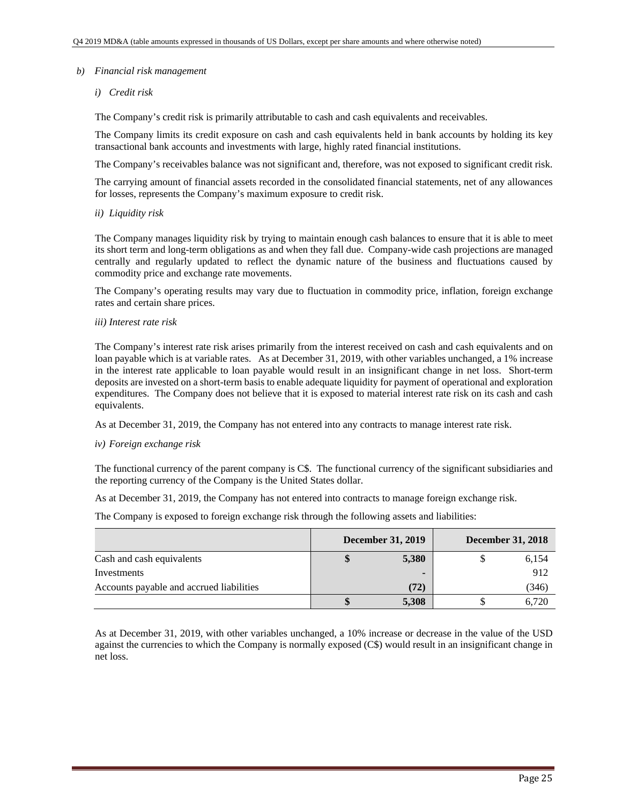#### *b) Financial risk management*

## *i) Credit risk*

The Company's credit risk is primarily attributable to cash and cash equivalents and receivables.

The Company limits its credit exposure on cash and cash equivalents held in bank accounts by holding its key transactional bank accounts and investments with large, highly rated financial institutions.

The Company's receivables balance was not significant and, therefore, was not exposed to significant credit risk.

The carrying amount of financial assets recorded in the consolidated financial statements, net of any allowances for losses, represents the Company's maximum exposure to credit risk.

*ii) Liquidity risk* 

The Company manages liquidity risk by trying to maintain enough cash balances to ensure that it is able to meet its short term and long-term obligations as and when they fall due. Company-wide cash projections are managed centrally and regularly updated to reflect the dynamic nature of the business and fluctuations caused by commodity price and exchange rate movements.

The Company's operating results may vary due to fluctuation in commodity price, inflation, foreign exchange rates and certain share prices.

#### *iii) Interest rate risk*

The Company's interest rate risk arises primarily from the interest received on cash and cash equivalents and on loan payable which is at variable rates. As at December 31, 2019, with other variables unchanged, a 1% increase in the interest rate applicable to loan payable would result in an insignificant change in net loss. Short-term deposits are invested on a short-term basis to enable adequate liquidity for payment of operational and exploration expenditures. The Company does not believe that it is exposed to material interest rate risk on its cash and cash equivalents.

As at December 31, 2019, the Company has not entered into any contracts to manage interest rate risk.

#### *iv) Foreign exchange risk*

The functional currency of the parent company is C\$. The functional currency of the significant subsidiaries and the reporting currency of the Company is the United States dollar.

As at December 31, 2019, the Company has not entered into contracts to manage foreign exchange risk.

The Company is exposed to foreign exchange risk through the following assets and liabilities:

|                                          | <b>December 31, 2019</b> | <b>December 31, 2018</b> |       |  |
|------------------------------------------|--------------------------|--------------------------|-------|--|
| Cash and cash equivalents                | 5,380                    |                          | 6,154 |  |
| Investments                              | -                        |                          | 912   |  |
| Accounts payable and accrued liabilities | (72)                     |                          | (346) |  |
|                                          | 5,308                    |                          | 6.720 |  |

As at December 31, 2019, with other variables unchanged, a 10% increase or decrease in the value of the USD against the currencies to which the Company is normally exposed (C\$) would result in an insignificant change in net loss.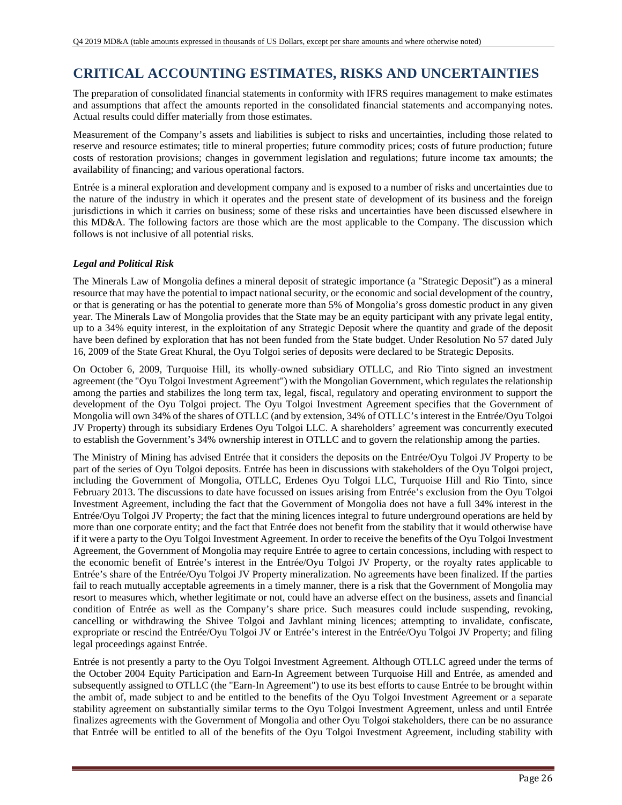# **CRITICAL ACCOUNTING ESTIMATES, RISKS AND UNCERTAINTIES**

The preparation of consolidated financial statements in conformity with IFRS requires management to make estimates and assumptions that affect the amounts reported in the consolidated financial statements and accompanying notes. Actual results could differ materially from those estimates.

Measurement of the Company's assets and liabilities is subject to risks and uncertainties, including those related to reserve and resource estimates; title to mineral properties; future commodity prices; costs of future production; future costs of restoration provisions; changes in government legislation and regulations; future income tax amounts; the availability of financing; and various operational factors.

Entrée is a mineral exploration and development company and is exposed to a number of risks and uncertainties due to the nature of the industry in which it operates and the present state of development of its business and the foreign jurisdictions in which it carries on business; some of these risks and uncertainties have been discussed elsewhere in this MD&A. The following factors are those which are the most applicable to the Company. The discussion which follows is not inclusive of all potential risks.

## *Legal and Political Risk*

The Minerals Law of Mongolia defines a mineral deposit of strategic importance (a "Strategic Deposit") as a mineral resource that may have the potential to impact national security, or the economic and social development of the country, or that is generating or has the potential to generate more than 5% of Mongolia's gross domestic product in any given year. The Minerals Law of Mongolia provides that the State may be an equity participant with any private legal entity, up to a 34% equity interest, in the exploitation of any Strategic Deposit where the quantity and grade of the deposit have been defined by exploration that has not been funded from the State budget. Under Resolution No 57 dated July 16, 2009 of the State Great Khural, the Oyu Tolgoi series of deposits were declared to be Strategic Deposits.

On October 6, 2009, Turquoise Hill, its wholly-owned subsidiary OTLLC, and Rio Tinto signed an investment agreement (the "Oyu Tolgoi Investment Agreement") with the Mongolian Government, which regulates the relationship among the parties and stabilizes the long term tax, legal, fiscal, regulatory and operating environment to support the development of the Oyu Tolgoi project. The Oyu Tolgoi Investment Agreement specifies that the Government of Mongolia will own 34% of the shares of OTLLC (and by extension, 34% of OTLLC's interest in the Entrée/Oyu Tolgoi JV Property) through its subsidiary Erdenes Oyu Tolgoi LLC. A shareholders' agreement was concurrently executed to establish the Government's 34% ownership interest in OTLLC and to govern the relationship among the parties.

The Ministry of Mining has advised Entrée that it considers the deposits on the Entrée/Oyu Tolgoi JV Property to be part of the series of Oyu Tolgoi deposits. Entrée has been in discussions with stakeholders of the Oyu Tolgoi project, including the Government of Mongolia, OTLLC, Erdenes Oyu Tolgoi LLC, Turquoise Hill and Rio Tinto, since February 2013. The discussions to date have focussed on issues arising from Entrée's exclusion from the Oyu Tolgoi Investment Agreement, including the fact that the Government of Mongolia does not have a full 34% interest in the Entrée/Oyu Tolgoi JV Property; the fact that the mining licences integral to future underground operations are held by more than one corporate entity; and the fact that Entrée does not benefit from the stability that it would otherwise have if it were a party to the Oyu Tolgoi Investment Agreement. In order to receive the benefits of the Oyu Tolgoi Investment Agreement, the Government of Mongolia may require Entrée to agree to certain concessions, including with respect to the economic benefit of Entrée's interest in the Entrée/Oyu Tolgoi JV Property, or the royalty rates applicable to Entrée's share of the Entrée/Oyu Tolgoi JV Property mineralization. No agreements have been finalized. If the parties fail to reach mutually acceptable agreements in a timely manner, there is a risk that the Government of Mongolia may resort to measures which, whether legitimate or not, could have an adverse effect on the business, assets and financial condition of Entrée as well as the Company's share price. Such measures could include suspending, revoking, cancelling or withdrawing the Shivee Tolgoi and Javhlant mining licences; attempting to invalidate, confiscate, expropriate or rescind the Entrée/Oyu Tolgoi JV or Entrée's interest in the Entrée/Oyu Tolgoi JV Property; and filing legal proceedings against Entrée.

Entrée is not presently a party to the Oyu Tolgoi Investment Agreement. Although OTLLC agreed under the terms of the October 2004 Equity Participation and Earn-In Agreement between Turquoise Hill and Entrée, as amended and subsequently assigned to OTLLC (the "Earn-In Agreement") to use its best efforts to cause Entrée to be brought within the ambit of, made subject to and be entitled to the benefits of the Oyu Tolgoi Investment Agreement or a separate stability agreement on substantially similar terms to the Oyu Tolgoi Investment Agreement, unless and until Entrée finalizes agreements with the Government of Mongolia and other Oyu Tolgoi stakeholders, there can be no assurance that Entrée will be entitled to all of the benefits of the Oyu Tolgoi Investment Agreement, including stability with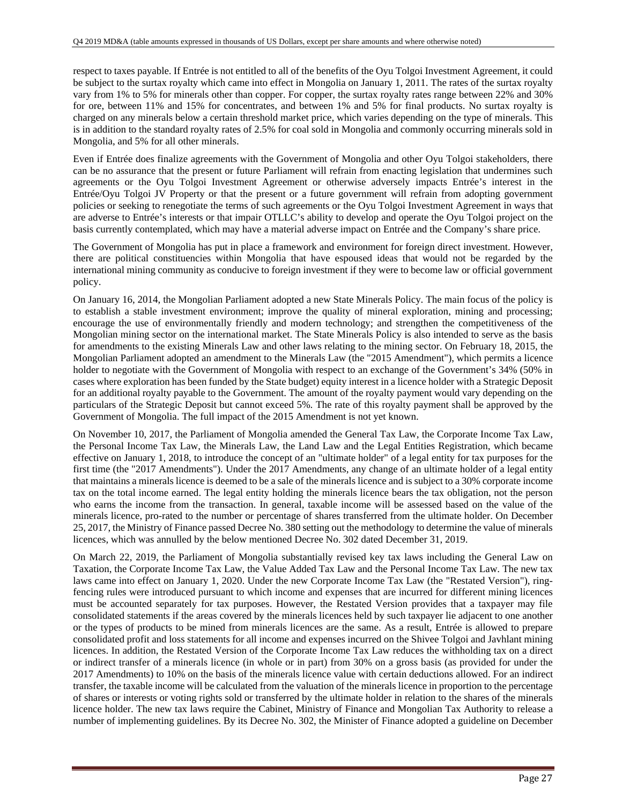respect to taxes payable. If Entrée is not entitled to all of the benefits of the Oyu Tolgoi Investment Agreement, it could be subject to the surtax royalty which came into effect in Mongolia on January 1, 2011. The rates of the surtax royalty vary from 1% to 5% for minerals other than copper. For copper, the surtax royalty rates range between 22% and 30% for ore, between 11% and 15% for concentrates, and between 1% and 5% for final products. No surtax royalty is charged on any minerals below a certain threshold market price, which varies depending on the type of minerals. This is in addition to the standard royalty rates of 2.5% for coal sold in Mongolia and commonly occurring minerals sold in Mongolia, and 5% for all other minerals.

Even if Entrée does finalize agreements with the Government of Mongolia and other Oyu Tolgoi stakeholders, there can be no assurance that the present or future Parliament will refrain from enacting legislation that undermines such agreements or the Oyu Tolgoi Investment Agreement or otherwise adversely impacts Entrée's interest in the Entrée/Oyu Tolgoi JV Property or that the present or a future government will refrain from adopting government policies or seeking to renegotiate the terms of such agreements or the Oyu Tolgoi Investment Agreement in ways that are adverse to Entrée's interests or that impair OTLLC's ability to develop and operate the Oyu Tolgoi project on the basis currently contemplated, which may have a material adverse impact on Entrée and the Company's share price.

The Government of Mongolia has put in place a framework and environment for foreign direct investment. However, there are political constituencies within Mongolia that have espoused ideas that would not be regarded by the international mining community as conducive to foreign investment if they were to become law or official government policy.

On January 16, 2014, the Mongolian Parliament adopted a new State Minerals Policy. The main focus of the policy is to establish a stable investment environment; improve the quality of mineral exploration, mining and processing; encourage the use of environmentally friendly and modern technology; and strengthen the competitiveness of the Mongolian mining sector on the international market. The State Minerals Policy is also intended to serve as the basis for amendments to the existing Minerals Law and other laws relating to the mining sector. On February 18, 2015, the Mongolian Parliament adopted an amendment to the Minerals Law (the "2015 Amendment"), which permits a licence holder to negotiate with the Government of Mongolia with respect to an exchange of the Government's 34% (50% in cases where exploration has been funded by the State budget) equity interest in a licence holder with a Strategic Deposit for an additional royalty payable to the Government. The amount of the royalty payment would vary depending on the particulars of the Strategic Deposit but cannot exceed 5%. The rate of this royalty payment shall be approved by the Government of Mongolia. The full impact of the 2015 Amendment is not yet known.

On November 10, 2017, the Parliament of Mongolia amended the General Tax Law, the Corporate Income Tax Law, the Personal Income Tax Law, the Minerals Law, the Land Law and the Legal Entities Registration, which became effective on January 1, 2018, to introduce the concept of an "ultimate holder" of a legal entity for tax purposes for the first time (the "2017 Amendments"). Under the 2017 Amendments, any change of an ultimate holder of a legal entity that maintains a minerals licence is deemed to be a sale of the minerals licence and is subject to a 30% corporate income tax on the total income earned. The legal entity holding the minerals licence bears the tax obligation, not the person who earns the income from the transaction. In general, taxable income will be assessed based on the value of the minerals licence, pro-rated to the number or percentage of shares transferred from the ultimate holder. On December 25, 2017, the Ministry of Finance passed Decree No. 380 setting out the methodology to determine the value of minerals licences, which was annulled by the below mentioned Decree No. 302 dated December 31, 2019.

On March 22, 2019, the Parliament of Mongolia substantially revised key tax laws including the General Law on Taxation, the Corporate Income Tax Law, the Value Added Tax Law and the Personal Income Tax Law. The new tax laws came into effect on January 1, 2020. Under the new Corporate Income Tax Law (the "Restated Version"), ringfencing rules were introduced pursuant to which income and expenses that are incurred for different mining licences must be accounted separately for tax purposes. However, the Restated Version provides that a taxpayer may file consolidated statements if the areas covered by the minerals licences held by such taxpayer lie adjacent to one another or the types of products to be mined from minerals licences are the same. As a result, Entrée is allowed to prepare consolidated profit and loss statements for all income and expenses incurred on the Shivee Tolgoi and Javhlant mining licences. In addition, the Restated Version of the Corporate Income Tax Law reduces the withholding tax on a direct or indirect transfer of a minerals licence (in whole or in part) from 30% on a gross basis (as provided for under the 2017 Amendments) to 10% on the basis of the minerals licence value with certain deductions allowed. For an indirect transfer, the taxable income will be calculated from the valuation of the minerals licence in proportion to the percentage of shares or interests or voting rights sold or transferred by the ultimate holder in relation to the shares of the minerals licence holder. The new tax laws require the Cabinet, Ministry of Finance and Mongolian Tax Authority to release a number of implementing guidelines. By its Decree No. 302, the Minister of Finance adopted a guideline on December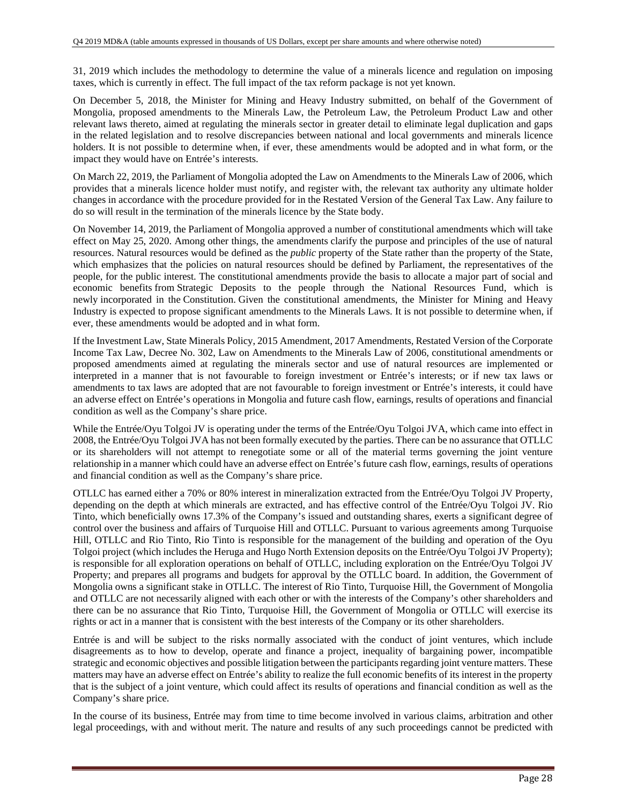31, 2019 which includes the methodology to determine the value of a minerals licence and regulation on imposing taxes, which is currently in effect. The full impact of the tax reform package is not yet known.

On December 5, 2018, the Minister for Mining and Heavy Industry submitted, on behalf of the Government of Mongolia, proposed amendments to the Minerals Law, the Petroleum Law, the Petroleum Product Law and other relevant laws thereto, aimed at regulating the minerals sector in greater detail to eliminate legal duplication and gaps in the related legislation and to resolve discrepancies between national and local governments and minerals licence holders. It is not possible to determine when, if ever, these amendments would be adopted and in what form, or the impact they would have on Entrée's interests.

On March 22, 2019, the Parliament of Mongolia adopted the Law on Amendments to the Minerals Law of 2006, which provides that a minerals licence holder must notify, and register with, the relevant tax authority any ultimate holder changes in accordance with the procedure provided for in the Restated Version of the General Tax Law. Any failure to do so will result in the termination of the minerals licence by the State body.

On November 14, 2019, the Parliament of Mongolia approved a number of constitutional amendments which will take effect on May 25, 2020. Among other things, the amendments clarify the purpose and principles of the use of natural resources. Natural resources would be defined as the *public* property of the State rather than the property of the State, which emphasizes that the policies on natural resources should be defined by Parliament, the representatives of the people, for the public interest. The constitutional amendments provide the basis to allocate a major part of social and economic benefits from Strategic Deposits to the people through the National Resources Fund, which is newly incorporated in the Constitution. Given the constitutional amendments, the Minister for Mining and Heavy Industry is expected to propose significant amendments to the Minerals Laws. It is not possible to determine when, if ever, these amendments would be adopted and in what form.

If the Investment Law, State Minerals Policy, 2015 Amendment, 2017 Amendments, Restated Version of the Corporate Income Tax Law, Decree No. 302, Law on Amendments to the Minerals Law of 2006, constitutional amendments or proposed amendments aimed at regulating the minerals sector and use of natural resources are implemented or interpreted in a manner that is not favourable to foreign investment or Entrée's interests; or if new tax laws or amendments to tax laws are adopted that are not favourable to foreign investment or Entrée's interests, it could have an adverse effect on Entrée's operations in Mongolia and future cash flow, earnings, results of operations and financial condition as well as the Company's share price.

While the Entrée/Oyu Tolgoi JV is operating under the terms of the Entrée/Oyu Tolgoi JVA, which came into effect in 2008, the Entrée/Oyu Tolgoi JVA has not been formally executed by the parties. There can be no assurance that OTLLC or its shareholders will not attempt to renegotiate some or all of the material terms governing the joint venture relationship in a manner which could have an adverse effect on Entrée's future cash flow, earnings, results of operations and financial condition as well as the Company's share price.

OTLLC has earned either a 70% or 80% interest in mineralization extracted from the Entrée/Oyu Tolgoi JV Property, depending on the depth at which minerals are extracted, and has effective control of the Entrée/Oyu Tolgoi JV. Rio Tinto, which beneficially owns 17.3% of the Company's issued and outstanding shares, exerts a significant degree of control over the business and affairs of Turquoise Hill and OTLLC. Pursuant to various agreements among Turquoise Hill, OTLLC and Rio Tinto, Rio Tinto is responsible for the management of the building and operation of the Oyu Tolgoi project (which includes the Heruga and Hugo North Extension deposits on the Entrée/Oyu Tolgoi JV Property); is responsible for all exploration operations on behalf of OTLLC, including exploration on the Entrée/Oyu Tolgoi JV Property; and prepares all programs and budgets for approval by the OTLLC board. In addition, the Government of Mongolia owns a significant stake in OTLLC. The interest of Rio Tinto, Turquoise Hill, the Government of Mongolia and OTLLC are not necessarily aligned with each other or with the interests of the Company's other shareholders and there can be no assurance that Rio Tinto, Turquoise Hill, the Government of Mongolia or OTLLC will exercise its rights or act in a manner that is consistent with the best interests of the Company or its other shareholders.

Entrée is and will be subject to the risks normally associated with the conduct of joint ventures, which include disagreements as to how to develop, operate and finance a project, inequality of bargaining power, incompatible strategic and economic objectives and possible litigation between the participants regarding joint venture matters. These matters may have an adverse effect on Entrée's ability to realize the full economic benefits of its interest in the property that is the subject of a joint venture, which could affect its results of operations and financial condition as well as the Company's share price.

In the course of its business, Entrée may from time to time become involved in various claims, arbitration and other legal proceedings, with and without merit. The nature and results of any such proceedings cannot be predicted with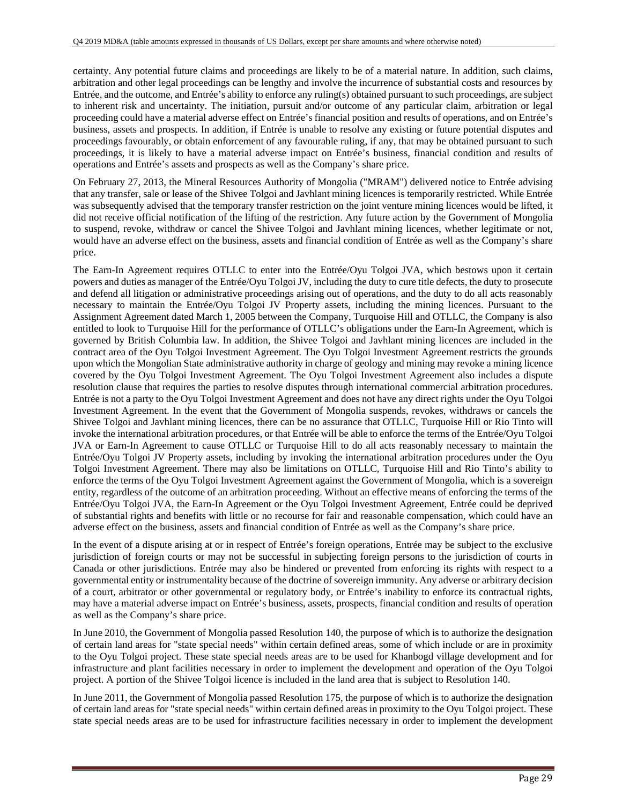certainty. Any potential future claims and proceedings are likely to be of a material nature. In addition, such claims, arbitration and other legal proceedings can be lengthy and involve the incurrence of substantial costs and resources by Entrée, and the outcome, and Entrée's ability to enforce any ruling(s) obtained pursuant to such proceedings, are subject to inherent risk and uncertainty. The initiation, pursuit and/or outcome of any particular claim, arbitration or legal proceeding could have a material adverse effect on Entrée's financial position and results of operations, and on Entrée's business, assets and prospects. In addition, if Entrée is unable to resolve any existing or future potential disputes and proceedings favourably, or obtain enforcement of any favourable ruling, if any, that may be obtained pursuant to such proceedings, it is likely to have a material adverse impact on Entrée's business, financial condition and results of operations and Entrée's assets and prospects as well as the Company's share price.

On February 27, 2013, the Mineral Resources Authority of Mongolia ("MRAM") delivered notice to Entrée advising that any transfer, sale or lease of the Shivee Tolgoi and Javhlant mining licences is temporarily restricted. While Entrée was subsequently advised that the temporary transfer restriction on the joint venture mining licences would be lifted, it did not receive official notification of the lifting of the restriction. Any future action by the Government of Mongolia to suspend, revoke, withdraw or cancel the Shivee Tolgoi and Javhlant mining licences, whether legitimate or not, would have an adverse effect on the business, assets and financial condition of Entrée as well as the Company's share price.

The Earn-In Agreement requires OTLLC to enter into the Entrée/Oyu Tolgoi JVA, which bestows upon it certain powers and duties as manager of the Entrée/Oyu Tolgoi JV, including the duty to cure title defects, the duty to prosecute and defend all litigation or administrative proceedings arising out of operations, and the duty to do all acts reasonably necessary to maintain the Entrée/Oyu Tolgoi JV Property assets, including the mining licences. Pursuant to the Assignment Agreement dated March 1, 2005 between the Company, Turquoise Hill and OTLLC, the Company is also entitled to look to Turquoise Hill for the performance of OTLLC's obligations under the Earn-In Agreement, which is governed by British Columbia law. In addition, the Shivee Tolgoi and Javhlant mining licences are included in the contract area of the Oyu Tolgoi Investment Agreement. The Oyu Tolgoi Investment Agreement restricts the grounds upon which the Mongolian State administrative authority in charge of geology and mining may revoke a mining licence covered by the Oyu Tolgoi Investment Agreement. The Oyu Tolgoi Investment Agreement also includes a dispute resolution clause that requires the parties to resolve disputes through international commercial arbitration procedures. Entrée is not a party to the Oyu Tolgoi Investment Agreement and does not have any direct rights under the Oyu Tolgoi Investment Agreement. In the event that the Government of Mongolia suspends, revokes, withdraws or cancels the Shivee Tolgoi and Javhlant mining licences, there can be no assurance that OTLLC, Turquoise Hill or Rio Tinto will invoke the international arbitration procedures, or that Entrée will be able to enforce the terms of the Entrée/Oyu Tolgoi JVA or Earn-In Agreement to cause OTLLC or Turquoise Hill to do all acts reasonably necessary to maintain the Entrée/Oyu Tolgoi JV Property assets, including by invoking the international arbitration procedures under the Oyu Tolgoi Investment Agreement. There may also be limitations on OTLLC, Turquoise Hill and Rio Tinto's ability to enforce the terms of the Oyu Tolgoi Investment Agreement against the Government of Mongolia, which is a sovereign entity, regardless of the outcome of an arbitration proceeding. Without an effective means of enforcing the terms of the Entrée/Oyu Tolgoi JVA, the Earn-In Agreement or the Oyu Tolgoi Investment Agreement, Entrée could be deprived of substantial rights and benefits with little or no recourse for fair and reasonable compensation, which could have an adverse effect on the business, assets and financial condition of Entrée as well as the Company's share price.

In the event of a dispute arising at or in respect of Entrée's foreign operations, Entrée may be subject to the exclusive jurisdiction of foreign courts or may not be successful in subjecting foreign persons to the jurisdiction of courts in Canada or other jurisdictions. Entrée may also be hindered or prevented from enforcing its rights with respect to a governmental entity or instrumentality because of the doctrine of sovereign immunity. Any adverse or arbitrary decision of a court, arbitrator or other governmental or regulatory body, or Entrée's inability to enforce its contractual rights, may have a material adverse impact on Entrée's business, assets, prospects, financial condition and results of operation as well as the Company's share price.

In June 2010, the Government of Mongolia passed Resolution 140, the purpose of which is to authorize the designation of certain land areas for "state special needs" within certain defined areas, some of which include or are in proximity to the Oyu Tolgoi project. These state special needs areas are to be used for Khanbogd village development and for infrastructure and plant facilities necessary in order to implement the development and operation of the Oyu Tolgoi project. A portion of the Shivee Tolgoi licence is included in the land area that is subject to Resolution 140.

In June 2011, the Government of Mongolia passed Resolution 175, the purpose of which is to authorize the designation of certain land areas for "state special needs" within certain defined areas in proximity to the Oyu Tolgoi project. These state special needs areas are to be used for infrastructure facilities necessary in order to implement the development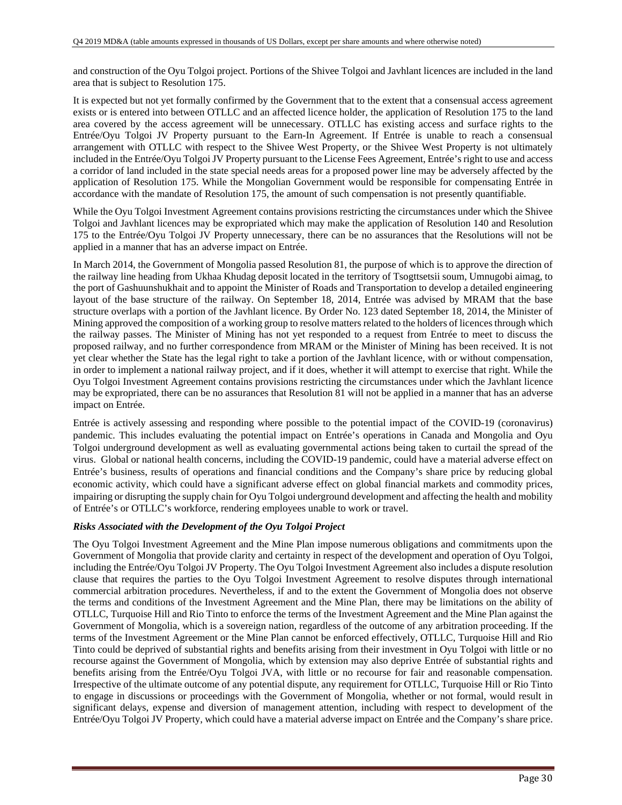and construction of the Oyu Tolgoi project. Portions of the Shivee Tolgoi and Javhlant licences are included in the land area that is subject to Resolution 175.

It is expected but not yet formally confirmed by the Government that to the extent that a consensual access agreement exists or is entered into between OTLLC and an affected licence holder, the application of Resolution 175 to the land area covered by the access agreement will be unnecessary. OTLLC has existing access and surface rights to the Entrée/Oyu Tolgoi JV Property pursuant to the Earn-In Agreement. If Entrée is unable to reach a consensual arrangement with OTLLC with respect to the Shivee West Property, or the Shivee West Property is not ultimately included in the Entrée/Oyu Tolgoi JV Property pursuant to the License Fees Agreement, Entrée's right to use and access a corridor of land included in the state special needs areas for a proposed power line may be adversely affected by the application of Resolution 175. While the Mongolian Government would be responsible for compensating Entrée in accordance with the mandate of Resolution 175, the amount of such compensation is not presently quantifiable.

While the Oyu Tolgoi Investment Agreement contains provisions restricting the circumstances under which the Shivee Tolgoi and Javhlant licences may be expropriated which may make the application of Resolution 140 and Resolution 175 to the Entrée/Oyu Tolgoi JV Property unnecessary, there can be no assurances that the Resolutions will not be applied in a manner that has an adverse impact on Entrée.

In March 2014, the Government of Mongolia passed Resolution 81, the purpose of which is to approve the direction of the railway line heading from Ukhaa Khudag deposit located in the territory of Tsogttsetsii soum, Umnugobi aimag, to the port of Gashuunshukhait and to appoint the Minister of Roads and Transportation to develop a detailed engineering layout of the base structure of the railway. On September 18, 2014, Entrée was advised by MRAM that the base structure overlaps with a portion of the Javhlant licence. By Order No. 123 dated September 18, 2014, the Minister of Mining approved the composition of a working group to resolve matters related to the holders of licences through which the railway passes. The Minister of Mining has not yet responded to a request from Entrée to meet to discuss the proposed railway, and no further correspondence from MRAM or the Minister of Mining has been received. It is not yet clear whether the State has the legal right to take a portion of the Javhlant licence, with or without compensation, in order to implement a national railway project, and if it does, whether it will attempt to exercise that right. While the Oyu Tolgoi Investment Agreement contains provisions restricting the circumstances under which the Javhlant licence may be expropriated, there can be no assurances that Resolution 81 will not be applied in a manner that has an adverse impact on Entrée.

Entrée is actively assessing and responding where possible to the potential impact of the COVID-19 (coronavirus) pandemic. This includes evaluating the potential impact on Entrée's operations in Canada and Mongolia and Oyu Tolgoi underground development as well as evaluating governmental actions being taken to curtail the spread of the virus. Global or national health concerns, including the COVID-19 pandemic, could have a material adverse effect on Entrée's business, results of operations and financial conditions and the Company's share price by reducing global economic activity, which could have a significant adverse effect on global financial markets and commodity prices, impairing or disrupting the supply chain for Oyu Tolgoi underground development and affecting the health and mobility of Entrée's or OTLLC's workforce, rendering employees unable to work or travel.

## *Risks Associated with the Development of the Oyu Tolgoi Project*

The Oyu Tolgoi Investment Agreement and the Mine Plan impose numerous obligations and commitments upon the Government of Mongolia that provide clarity and certainty in respect of the development and operation of Oyu Tolgoi, including the Entrée/Oyu Tolgoi JV Property. The Oyu Tolgoi Investment Agreement also includes a dispute resolution clause that requires the parties to the Oyu Tolgoi Investment Agreement to resolve disputes through international commercial arbitration procedures. Nevertheless, if and to the extent the Government of Mongolia does not observe the terms and conditions of the Investment Agreement and the Mine Plan, there may be limitations on the ability of OTLLC, Turquoise Hill and Rio Tinto to enforce the terms of the Investment Agreement and the Mine Plan against the Government of Mongolia, which is a sovereign nation, regardless of the outcome of any arbitration proceeding. If the terms of the Investment Agreement or the Mine Plan cannot be enforced effectively, OTLLC, Turquoise Hill and Rio Tinto could be deprived of substantial rights and benefits arising from their investment in Oyu Tolgoi with little or no recourse against the Government of Mongolia, which by extension may also deprive Entrée of substantial rights and benefits arising from the Entrée/Oyu Tolgoi JVA, with little or no recourse for fair and reasonable compensation. Irrespective of the ultimate outcome of any potential dispute, any requirement for OTLLC, Turquoise Hill or Rio Tinto to engage in discussions or proceedings with the Government of Mongolia, whether or not formal, would result in significant delays, expense and diversion of management attention, including with respect to development of the Entrée/Oyu Tolgoi JV Property, which could have a material adverse impact on Entrée and the Company's share price.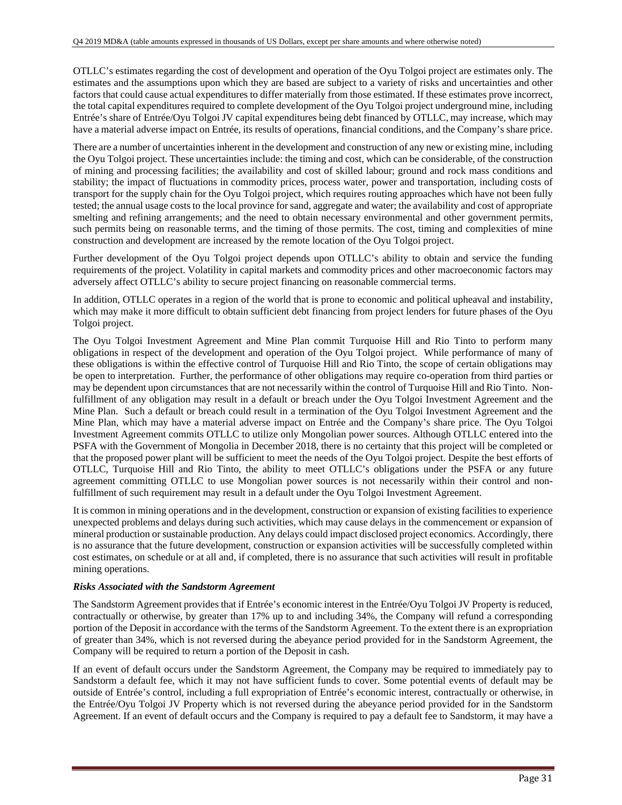OTLLC's estimates regarding the cost of development and operation of the Oyu Tolgoi project are estimates only. The estimates and the assumptions upon which they are based are subject to a variety of risks and uncertainties and other factors that could cause actual expenditures to differ materially from those estimated. If these estimates prove incorrect, the total capital expenditures required to complete development of the Oyu Tolgoi project underground mine, including Entrée's share of Entrée/Oyu Tolgoi JV capital expenditures being debt financed by OTLLC, may increase, which may have a material adverse impact on Entrée, its results of operations, financial conditions, and the Company's share price.

There are a number of uncertainties inherent in the development and construction of any new or existing mine, including the Oyu Tolgoi project. These uncertainties include: the timing and cost, which can be considerable, of the construction of mining and processing facilities; the availability and cost of skilled labour; ground and rock mass conditions and stability; the impact of fluctuations in commodity prices, process water, power and transportation, including costs of transport for the supply chain for the Oyu Tolgoi project, which requires routing approaches which have not been fully tested; the annual usage costs to the local province for sand, aggregate and water; the availability and cost of appropriate smelting and refining arrangements; and the need to obtain necessary environmental and other government permits, such permits being on reasonable terms, and the timing of those permits. The cost, timing and complexities of mine construction and development are increased by the remote location of the Oyu Tolgoi project.

Further development of the Oyu Tolgoi project depends upon OTLLC's ability to obtain and service the funding requirements of the project. Volatility in capital markets and commodity prices and other macroeconomic factors may adversely affect OTLLC's ability to secure project financing on reasonable commercial terms.

In addition, OTLLC operates in a region of the world that is prone to economic and political upheaval and instability, which may make it more difficult to obtain sufficient debt financing from project lenders for future phases of the Oyu Tolgoi project.

The Oyu Tolgoi Investment Agreement and Mine Plan commit Turquoise Hill and Rio Tinto to perform many obligations in respect of the development and operation of the Oyu Tolgoi project. While performance of many of these obligations is within the effective control of Turquoise Hill and Rio Tinto, the scope of certain obligations may be open to interpretation. Further, the performance of other obligations may require co-operation from third parties or may be dependent upon circumstances that are not necessarily within the control of Turquoise Hill and Rio Tinto. Nonfulfillment of any obligation may result in a default or breach under the Oyu Tolgoi Investment Agreement and the Mine Plan. Such a default or breach could result in a termination of the Oyu Tolgoi Investment Agreement and the Mine Plan, which may have a material adverse impact on Entrée and the Company's share price. The Oyu Tolgoi Investment Agreement commits OTLLC to utilize only Mongolian power sources. Although OTLLC entered into the PSFA with the Government of Mongolia in December 2018, there is no certainty that this project will be completed or that the proposed power plant will be sufficient to meet the needs of the Oyu Tolgoi project. Despite the best efforts of OTLLC, Turquoise Hill and Rio Tinto, the ability to meet OTLLC's obligations under the PSFA or any future agreement committing OTLLC to use Mongolian power sources is not necessarily within their control and nonfulfillment of such requirement may result in a default under the Oyu Tolgoi Investment Agreement.

It is common in mining operations and in the development, construction or expansion of existing facilities to experience unexpected problems and delays during such activities, which may cause delays in the commencement or expansion of mineral production or sustainable production. Any delays could impact disclosed project economics. Accordingly, there is no assurance that the future development, construction or expansion activities will be successfully completed within cost estimates, on schedule or at all and, if completed, there is no assurance that such activities will result in profitable mining operations.

## *Risks Associated with the Sandstorm Agreement*

The Sandstorm Agreement provides that if Entrée's economic interest in the Entrée/Oyu Tolgoi JV Property is reduced, contractually or otherwise, by greater than 17% up to and including 34%, the Company will refund a corresponding portion of the Deposit in accordance with the terms of the Sandstorm Agreement. To the extent there is an expropriation of greater than 34%, which is not reversed during the abeyance period provided for in the Sandstorm Agreement, the Company will be required to return a portion of the Deposit in cash.

If an event of default occurs under the Sandstorm Agreement, the Company may be required to immediately pay to Sandstorm a default fee, which it may not have sufficient funds to cover. Some potential events of default may be outside of Entrée's control, including a full expropriation of Entrée's economic interest, contractually or otherwise, in the Entrée/Oyu Tolgoi JV Property which is not reversed during the abeyance period provided for in the Sandstorm Agreement. If an event of default occurs and the Company is required to pay a default fee to Sandstorm, it may have a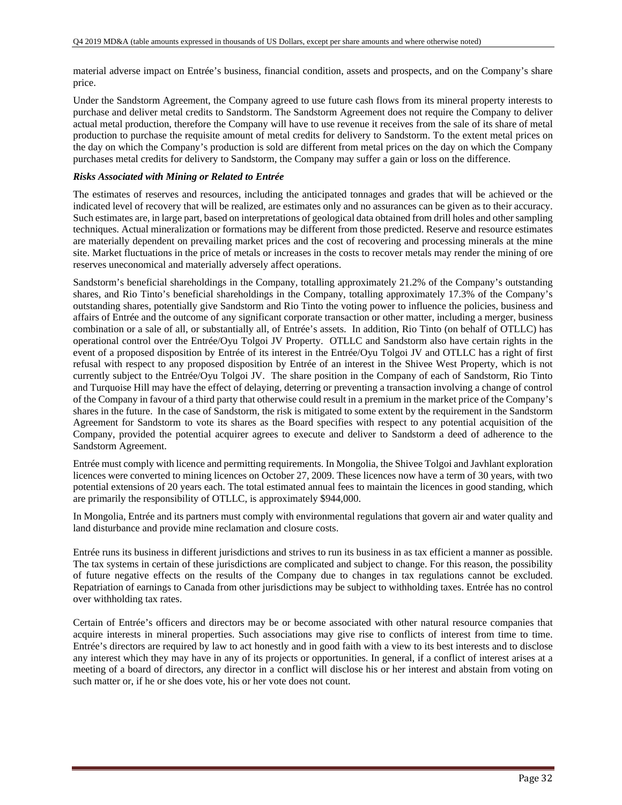material adverse impact on Entrée's business, financial condition, assets and prospects, and on the Company's share price.

Under the Sandstorm Agreement, the Company agreed to use future cash flows from its mineral property interests to purchase and deliver metal credits to Sandstorm. The Sandstorm Agreement does not require the Company to deliver actual metal production, therefore the Company will have to use revenue it receives from the sale of its share of metal production to purchase the requisite amount of metal credits for delivery to Sandstorm. To the extent metal prices on the day on which the Company's production is sold are different from metal prices on the day on which the Company purchases metal credits for delivery to Sandstorm, the Company may suffer a gain or loss on the difference.

### *Risks Associated with Mining or Related to Entrée*

The estimates of reserves and resources, including the anticipated tonnages and grades that will be achieved or the indicated level of recovery that will be realized, are estimates only and no assurances can be given as to their accuracy. Such estimates are, in large part, based on interpretations of geological data obtained from drill holes and other sampling techniques. Actual mineralization or formations may be different from those predicted. Reserve and resource estimates are materially dependent on prevailing market prices and the cost of recovering and processing minerals at the mine site. Market fluctuations in the price of metals or increases in the costs to recover metals may render the mining of ore reserves uneconomical and materially adversely affect operations.

Sandstorm's beneficial shareholdings in the Company, totalling approximately 21.2% of the Company's outstanding shares, and Rio Tinto's beneficial shareholdings in the Company, totalling approximately 17.3% of the Company's outstanding shares, potentially give Sandstorm and Rio Tinto the voting power to influence the policies, business and affairs of Entrée and the outcome of any significant corporate transaction or other matter, including a merger, business combination or a sale of all, or substantially all, of Entrée's assets. In addition, Rio Tinto (on behalf of OTLLC) has operational control over the Entrée/Oyu Tolgoi JV Property. OTLLC and Sandstorm also have certain rights in the event of a proposed disposition by Entrée of its interest in the Entrée/Oyu Tolgoi JV and OTLLC has a right of first refusal with respect to any proposed disposition by Entrée of an interest in the Shivee West Property, which is not currently subject to the Entrée/Oyu Tolgoi JV. The share position in the Company of each of Sandstorm, Rio Tinto and Turquoise Hill may have the effect of delaying, deterring or preventing a transaction involving a change of control of the Company in favour of a third party that otherwise could result in a premium in the market price of the Company's shares in the future. In the case of Sandstorm, the risk is mitigated to some extent by the requirement in the Sandstorm Agreement for Sandstorm to vote its shares as the Board specifies with respect to any potential acquisition of the Company, provided the potential acquirer agrees to execute and deliver to Sandstorm a deed of adherence to the Sandstorm Agreement.

Entrée must comply with licence and permitting requirements. In Mongolia, the Shivee Tolgoi and Javhlant exploration licences were converted to mining licences on October 27, 2009. These licences now have a term of 30 years, with two potential extensions of 20 years each. The total estimated annual fees to maintain the licences in good standing, which are primarily the responsibility of OTLLC, is approximately \$944,000.

In Mongolia, Entrée and its partners must comply with environmental regulations that govern air and water quality and land disturbance and provide mine reclamation and closure costs.

Entrée runs its business in different jurisdictions and strives to run its business in as tax efficient a manner as possible. The tax systems in certain of these jurisdictions are complicated and subject to change. For this reason, the possibility of future negative effects on the results of the Company due to changes in tax regulations cannot be excluded. Repatriation of earnings to Canada from other jurisdictions may be subject to withholding taxes. Entrée has no control over withholding tax rates.

Certain of Entrée's officers and directors may be or become associated with other natural resource companies that acquire interests in mineral properties. Such associations may give rise to conflicts of interest from time to time. Entrée's directors are required by law to act honestly and in good faith with a view to its best interests and to disclose any interest which they may have in any of its projects or opportunities. In general, if a conflict of interest arises at a meeting of a board of directors, any director in a conflict will disclose his or her interest and abstain from voting on such matter or, if he or she does vote, his or her vote does not count.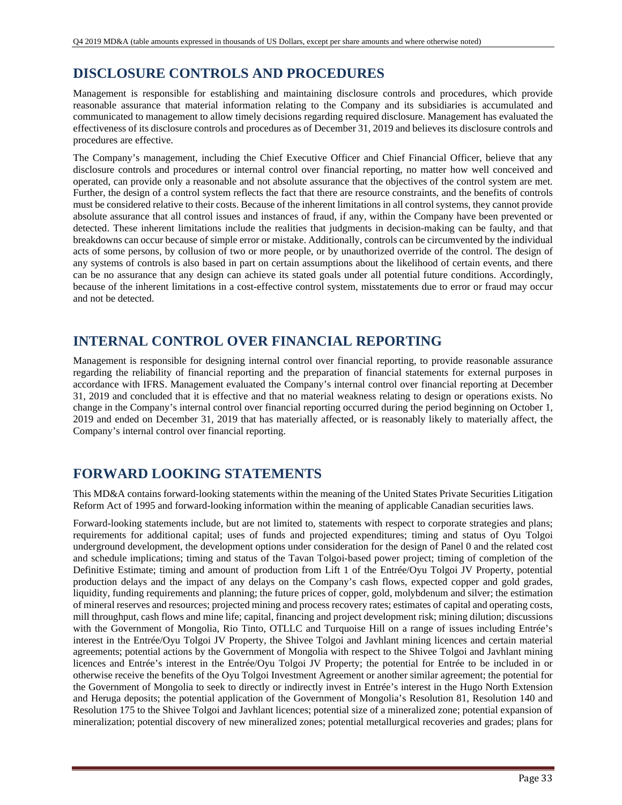# **DISCLOSURE CONTROLS AND PROCEDURES**

Management is responsible for establishing and maintaining disclosure controls and procedures, which provide reasonable assurance that material information relating to the Company and its subsidiaries is accumulated and communicated to management to allow timely decisions regarding required disclosure. Management has evaluated the effectiveness of its disclosure controls and procedures as of December 31, 2019 and believes its disclosure controls and procedures are effective.

The Company's management, including the Chief Executive Officer and Chief Financial Officer, believe that any disclosure controls and procedures or internal control over financial reporting, no matter how well conceived and operated, can provide only a reasonable and not absolute assurance that the objectives of the control system are met. Further, the design of a control system reflects the fact that there are resource constraints, and the benefits of controls must be considered relative to their costs. Because of the inherent limitations in all control systems, they cannot provide absolute assurance that all control issues and instances of fraud, if any, within the Company have been prevented or detected. These inherent limitations include the realities that judgments in decision-making can be faulty, and that breakdowns can occur because of simple error or mistake. Additionally, controls can be circumvented by the individual acts of some persons, by collusion of two or more people, or by unauthorized override of the control. The design of any systems of controls is also based in part on certain assumptions about the likelihood of certain events, and there can be no assurance that any design can achieve its stated goals under all potential future conditions. Accordingly, because of the inherent limitations in a cost-effective control system, misstatements due to error or fraud may occur and not be detected.

## **INTERNAL CONTROL OVER FINANCIAL REPORTING**

Management is responsible for designing internal control over financial reporting, to provide reasonable assurance regarding the reliability of financial reporting and the preparation of financial statements for external purposes in accordance with IFRS. Management evaluated the Company's internal control over financial reporting at December 31, 2019 and concluded that it is effective and that no material weakness relating to design or operations exists. No change in the Company's internal control over financial reporting occurred during the period beginning on October 1, 2019 and ended on December 31, 2019 that has materially affected, or is reasonably likely to materially affect, the Company's internal control over financial reporting.

## **FORWARD LOOKING STATEMENTS**

This MD&A contains forward-looking statements within the meaning of the United States Private Securities Litigation Reform Act of 1995 and forward-looking information within the meaning of applicable Canadian securities laws.

Forward-looking statements include, but are not limited to, statements with respect to corporate strategies and plans; requirements for additional capital; uses of funds and projected expenditures; timing and status of Oyu Tolgoi underground development, the development options under consideration for the design of Panel 0 and the related cost and schedule implications; timing and status of the Tavan Tolgoi-based power project; timing of completion of the Definitive Estimate; timing and amount of production from Lift 1 of the Entrée/Oyu Tolgoi JV Property, potential production delays and the impact of any delays on the Company's cash flows, expected copper and gold grades, liquidity, funding requirements and planning; the future prices of copper, gold, molybdenum and silver; the estimation of mineral reserves and resources; projected mining and process recovery rates; estimates of capital and operating costs, mill throughput, cash flows and mine life; capital, financing and project development risk; mining dilution; discussions with the Government of Mongolia, Rio Tinto, OTLLC and Turquoise Hill on a range of issues including Entrée's interest in the Entrée/Oyu Tolgoi JV Property, the Shivee Tolgoi and Javhlant mining licences and certain material agreements; potential actions by the Government of Mongolia with respect to the Shivee Tolgoi and Javhlant mining licences and Entrée's interest in the Entrée/Oyu Tolgoi JV Property; the potential for Entrée to be included in or otherwise receive the benefits of the Oyu Tolgoi Investment Agreement or another similar agreement; the potential for the Government of Mongolia to seek to directly or indirectly invest in Entrée's interest in the Hugo North Extension and Heruga deposits; the potential application of the Government of Mongolia's Resolution 81, Resolution 140 and Resolution 175 to the Shivee Tolgoi and Javhlant licences; potential size of a mineralized zone; potential expansion of mineralization; potential discovery of new mineralized zones; potential metallurgical recoveries and grades; plans for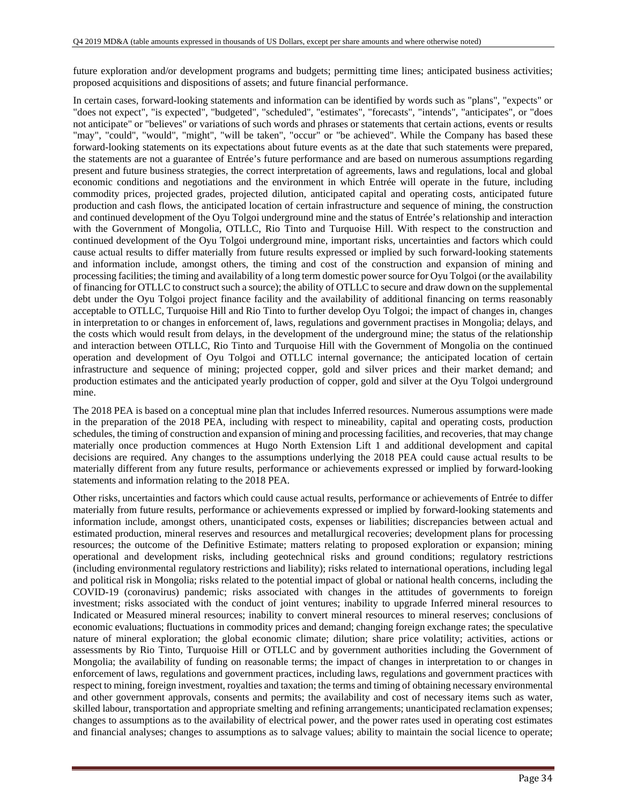future exploration and/or development programs and budgets; permitting time lines; anticipated business activities; proposed acquisitions and dispositions of assets; and future financial performance.

In certain cases, forward-looking statements and information can be identified by words such as "plans", "expects" or "does not expect", "is expected", "budgeted", "scheduled", "estimates", "forecasts", "intends", "anticipates", or "does not anticipate" or "believes" or variations of such words and phrases or statements that certain actions, events or results "may", "could", "would", "might", "will be taken", "occur" or "be achieved". While the Company has based these forward-looking statements on its expectations about future events as at the date that such statements were prepared, the statements are not a guarantee of Entrée's future performance and are based on numerous assumptions regarding present and future business strategies, the correct interpretation of agreements, laws and regulations, local and global economic conditions and negotiations and the environment in which Entrée will operate in the future, including commodity prices, projected grades, projected dilution, anticipated capital and operating costs, anticipated future production and cash flows, the anticipated location of certain infrastructure and sequence of mining, the construction and continued development of the Oyu Tolgoi underground mine and the status of Entrée's relationship and interaction with the Government of Mongolia, OTLLC, Rio Tinto and Turquoise Hill. With respect to the construction and continued development of the Oyu Tolgoi underground mine, important risks, uncertainties and factors which could cause actual results to differ materially from future results expressed or implied by such forward-looking statements and information include, amongst others, the timing and cost of the construction and expansion of mining and processing facilities; the timing and availability of a long term domestic power source for Oyu Tolgoi (or the availability of financing for OTLLC to construct such a source); the ability of OTLLC to secure and draw down on the supplemental debt under the Oyu Tolgoi project finance facility and the availability of additional financing on terms reasonably acceptable to OTLLC, Turquoise Hill and Rio Tinto to further develop Oyu Tolgoi; the impact of changes in, changes in interpretation to or changes in enforcement of, laws, regulations and government practises in Mongolia; delays, and the costs which would result from delays, in the development of the underground mine; the status of the relationship and interaction between OTLLC, Rio Tinto and Turquoise Hill with the Government of Mongolia on the continued operation and development of Oyu Tolgoi and OTLLC internal governance; the anticipated location of certain infrastructure and sequence of mining; projected copper, gold and silver prices and their market demand; and production estimates and the anticipated yearly production of copper, gold and silver at the Oyu Tolgoi underground mine.

The 2018 PEA is based on a conceptual mine plan that includes Inferred resources. Numerous assumptions were made in the preparation of the 2018 PEA, including with respect to mineability, capital and operating costs, production schedules, the timing of construction and expansion of mining and processing facilities, and recoveries, that may change materially once production commences at Hugo North Extension Lift 1 and additional development and capital decisions are required. Any changes to the assumptions underlying the 2018 PEA could cause actual results to be materially different from any future results, performance or achievements expressed or implied by forward-looking statements and information relating to the 2018 PEA.

Other risks, uncertainties and factors which could cause actual results, performance or achievements of Entrée to differ materially from future results, performance or achievements expressed or implied by forward-looking statements and information include, amongst others, unanticipated costs, expenses or liabilities; discrepancies between actual and estimated production, mineral reserves and resources and metallurgical recoveries; development plans for processing resources; the outcome of the Definitive Estimate; matters relating to proposed exploration or expansion; mining operational and development risks, including geotechnical risks and ground conditions; regulatory restrictions (including environmental regulatory restrictions and liability); risks related to international operations, including legal and political risk in Mongolia; risks related to the potential impact of global or national health concerns, including the COVID-19 (coronavirus) pandemic; risks associated with changes in the attitudes of governments to foreign investment; risks associated with the conduct of joint ventures; inability to upgrade Inferred mineral resources to Indicated or Measured mineral resources; inability to convert mineral resources to mineral reserves; conclusions of economic evaluations; fluctuations in commodity prices and demand; changing foreign exchange rates; the speculative nature of mineral exploration; the global economic climate; dilution; share price volatility; activities, actions or assessments by Rio Tinto, Turquoise Hill or OTLLC and by government authorities including the Government of Mongolia; the availability of funding on reasonable terms; the impact of changes in interpretation to or changes in enforcement of laws, regulations and government practices, including laws, regulations and government practices with respect to mining, foreign investment, royalties and taxation; the terms and timing of obtaining necessary environmental and other government approvals, consents and permits; the availability and cost of necessary items such as water, skilled labour, transportation and appropriate smelting and refining arrangements; unanticipated reclamation expenses; changes to assumptions as to the availability of electrical power, and the power rates used in operating cost estimates and financial analyses; changes to assumptions as to salvage values; ability to maintain the social licence to operate;